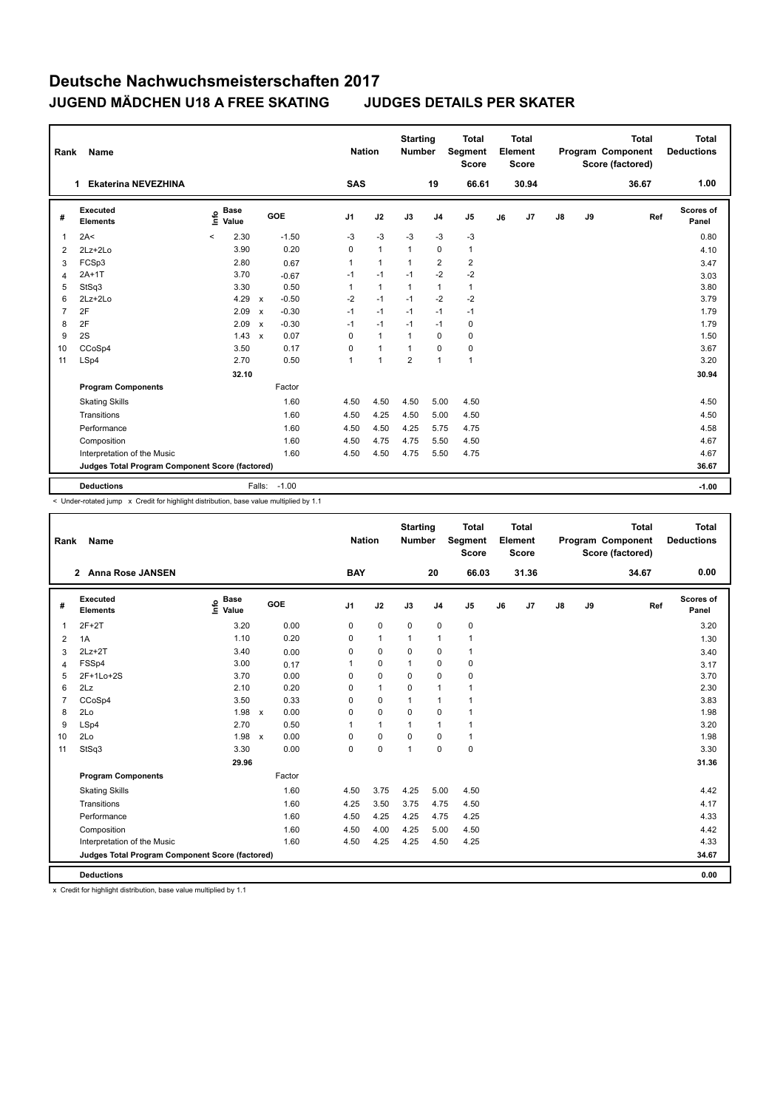| Rank           | Name                                            |                              |              |         | <b>Nation</b>        |                | <b>Starting</b><br><b>Number</b> |                | <b>Total</b><br>Segment<br><b>Score</b> |    | Total<br>Element<br><b>Score</b> |               |    | Total<br>Program Component<br>Score (factored) | Total<br><b>Deductions</b> |
|----------------|-------------------------------------------------|------------------------------|--------------|---------|----------------------|----------------|----------------------------------|----------------|-----------------------------------------|----|----------------------------------|---------------|----|------------------------------------------------|----------------------------|
|                | Ekaterina NEVEZHINA<br>1                        |                              |              |         | <b>SAS</b>           |                |                                  | 19             | 66.61                                   |    | 30.94                            |               |    | 36.67                                          | 1.00                       |
| #              | Executed<br><b>Elements</b>                     | <b>Base</b><br>١nfo<br>Value |              | GOE     | J <sub>1</sub>       | J2             | J3                               | J <sub>4</sub> | J <sub>5</sub>                          | J6 | J7                               | $\mathsf{J}8$ | J9 | Ref                                            | <b>Scores of</b><br>Panel  |
| 1              | 2A<                                             | 2.30<br>$\prec$              |              | $-1.50$ | $-3$                 | $-3$           | $-3$                             | $-3$           | $-3$                                    |    |                                  |               |    |                                                | 0.80                       |
| 2              | $2Lz + 2Lo$                                     | 3.90                         |              | 0.20    | 0                    | $\mathbf{1}$   | $\mathbf{1}$                     | $\mathbf 0$    | $\mathbf{1}$                            |    |                                  |               |    |                                                | 4.10                       |
| 3              | FCSp3                                           | 2.80                         |              | 0.67    | $\blacktriangleleft$ | $\mathbf{1}$   | $\overline{1}$                   | $\overline{2}$ | $\overline{c}$                          |    |                                  |               |    |                                                | 3.47                       |
| $\overline{4}$ | $2A+1T$                                         | 3.70                         |              | $-0.67$ | $-1$                 | $-1$           | $-1$                             | $-2$           | $-2$                                    |    |                                  |               |    |                                                | 3.03                       |
| 5              | StSq3                                           | 3.30                         |              | 0.50    | $\blacktriangleleft$ | $\mathbf{1}$   | $\overline{1}$                   | $\overline{1}$ | $\mathbf{1}$                            |    |                                  |               |    |                                                | 3.80                       |
| 6              | $2Lz+2Lo$                                       | 4.29                         | $\mathsf{x}$ | $-0.50$ | $-2$                 | $-1$           | $-1$                             | $-2$           | $-2$                                    |    |                                  |               |    |                                                | 3.79                       |
| $\overline{7}$ | 2F                                              | 2.09                         | $\mathbf{x}$ | $-0.30$ | $-1$                 | $-1$           | $-1$                             | $-1$           | $-1$                                    |    |                                  |               |    |                                                | 1.79                       |
| 8              | 2F                                              | 2.09                         | $\mathbf{x}$ | $-0.30$ | $-1$                 | $-1$           | $-1$                             | $-1$           | 0                                       |    |                                  |               |    |                                                | 1.79                       |
| 9              | 2S                                              | 1.43                         | $\mathbf{x}$ | 0.07    | 0                    | $\mathbf{1}$   | $\mathbf{1}$                     | $\Omega$       | 0                                       |    |                                  |               |    |                                                | 1.50                       |
| 10             | CCoSp4                                          | 3.50                         |              | 0.17    | $\Omega$             | $\mathbf{1}$   | $\mathbf{1}$                     | $\Omega$       | $\pmb{0}$                               |    |                                  |               |    |                                                | 3.67                       |
| 11             | LSp4                                            | 2.70                         |              | 0.50    | $\overline{1}$       | $\overline{1}$ | $\overline{2}$                   | $\overline{1}$ | $\mathbf{1}$                            |    |                                  |               |    |                                                | 3.20                       |
|                |                                                 | 32.10                        |              |         |                      |                |                                  |                |                                         |    |                                  |               |    |                                                | 30.94                      |
|                | <b>Program Components</b>                       |                              |              | Factor  |                      |                |                                  |                |                                         |    |                                  |               |    |                                                |                            |
|                | <b>Skating Skills</b>                           |                              |              | 1.60    | 4.50                 | 4.50           | 4.50                             | 5.00           | 4.50                                    |    |                                  |               |    |                                                | 4.50                       |
|                | Transitions                                     |                              |              | 1.60    | 4.50                 | 4.25           | 4.50                             | 5.00           | 4.50                                    |    |                                  |               |    |                                                | 4.50                       |
|                | Performance                                     |                              |              | 1.60    | 4.50                 | 4.50           | 4.25                             | 5.75           | 4.75                                    |    |                                  |               |    |                                                | 4.58                       |
|                | Composition                                     |                              |              | 1.60    | 4.50                 | 4.75           | 4.75                             | 5.50           | 4.50                                    |    |                                  |               |    |                                                | 4.67                       |
|                | Interpretation of the Music                     |                              |              | 1.60    | 4.50                 | 4.50           | 4.75                             | 5.50           | 4.75                                    |    |                                  |               |    |                                                | 4.67                       |
|                | Judges Total Program Component Score (factored) |                              |              |         |                      |                |                                  |                |                                         |    |                                  |               |    |                                                | 36.67                      |
|                | <b>Deductions</b>                               |                              | Falls:       | $-1.00$ |                      |                |                                  |                |                                         |    |                                  |               |    |                                                | $-1.00$                    |

< Under-rotated jump x Credit for highlight distribution, base value multiplied by 1.1

| Rank           | Name                                            |                              |              |        | <b>Nation</b> |              | <b>Starting</b><br>Number |                | <b>Total</b><br>Segment<br><b>Score</b> |    | <b>Total</b><br>Element<br><b>Score</b> |               |    | <b>Total</b><br>Program Component<br>Score (factored) | <b>Total</b><br><b>Deductions</b> |
|----------------|-------------------------------------------------|------------------------------|--------------|--------|---------------|--------------|---------------------------|----------------|-----------------------------------------|----|-----------------------------------------|---------------|----|-------------------------------------------------------|-----------------------------------|
|                | 2 Anna Rose JANSEN                              |                              |              |        | <b>BAY</b>    |              |                           | 20             | 66.03                                   |    | 31.36                                   |               |    | 34.67                                                 | 0.00                              |
| #              | <b>Executed</b><br><b>Elements</b>              | <b>Base</b><br>lnfo<br>Value |              | GOE    | J1            | J2           | J3                        | J <sub>4</sub> | J5                                      | J6 | J7                                      | $\mathsf{J}8$ | J9 | Ref                                                   | Scores of<br>Panel                |
| $\overline{1}$ | $2F+2T$                                         | 3.20                         |              | 0.00   | 0             | $\pmb{0}$    | 0                         | $\pmb{0}$      | 0                                       |    |                                         |               |    |                                                       | 3.20                              |
| 2              | 1A                                              | 1.10                         |              | 0.20   | 0             | $\mathbf{1}$ | $\mathbf{1}$              | $\mathbf{1}$   | $\mathbf{1}$                            |    |                                         |               |    |                                                       | 1.30                              |
| 3              | $2Lz+2T$                                        | 3.40                         |              | 0.00   | 0             | $\mathbf 0$  | 0                         | $\mathbf 0$    | $\mathbf{1}$                            |    |                                         |               |    |                                                       | 3.40                              |
| $\overline{4}$ | FSSp4                                           | 3.00                         |              | 0.17   | 1             | 0            | $\overline{1}$            | 0              | $\mathbf 0$                             |    |                                         |               |    |                                                       | 3.17                              |
| 5              | 2F+1Lo+2S                                       | 3.70                         |              | 0.00   | 0             | $\mathbf 0$  | 0                         | $\mathbf 0$    | $\pmb{0}$                               |    |                                         |               |    |                                                       | 3.70                              |
| 6              | 2Lz                                             | 2.10                         |              | 0.20   | $\Omega$      | $\mathbf{1}$ | $\Omega$                  | $\mathbf{1}$   | $\mathbf{1}$                            |    |                                         |               |    |                                                       | 2.30                              |
| $\overline{7}$ | CCoSp4                                          | 3.50                         |              | 0.33   | 0             | $\mathbf 0$  | $\overline{1}$            | $\mathbf{1}$   | $\mathbf{1}$                            |    |                                         |               |    |                                                       | 3.83                              |
| 8              | 2Lo                                             | 1.98                         | $\mathsf{x}$ | 0.00   | 0             | $\mathbf 0$  | $\mathbf 0$               | $\mathbf 0$    | $\mathbf{1}$                            |    |                                         |               |    |                                                       | 1.98                              |
| 9              | LSp4                                            | 2.70                         |              | 0.50   | 1             | $\mathbf{1}$ | $\mathbf{1}$              | $\mathbf{1}$   | $\mathbf{1}$                            |    |                                         |               |    |                                                       | 3.20                              |
| 10             | 2Lo                                             | 1.98                         | $\mathsf{x}$ | 0.00   | 0             | $\mathbf 0$  | $\mathbf 0$               | $\mathbf 0$    | $\mathbf{1}$                            |    |                                         |               |    |                                                       | 1.98                              |
| 11             | StSq3                                           | 3.30                         |              | 0.00   | 0             | $\pmb{0}$    | $\overline{1}$            | $\mathbf 0$    | $\pmb{0}$                               |    |                                         |               |    |                                                       | 3.30                              |
|                |                                                 | 29.96                        |              |        |               |              |                           |                |                                         |    |                                         |               |    |                                                       | 31.36                             |
|                | <b>Program Components</b>                       |                              |              | Factor |               |              |                           |                |                                         |    |                                         |               |    |                                                       |                                   |
|                | <b>Skating Skills</b>                           |                              |              | 1.60   | 4.50          | 3.75         | 4.25                      | 5.00           | 4.50                                    |    |                                         |               |    |                                                       | 4.42                              |
|                | Transitions                                     |                              |              | 1.60   | 4.25          | 3.50         | 3.75                      | 4.75           | 4.50                                    |    |                                         |               |    |                                                       | 4.17                              |
|                | Performance                                     |                              |              | 1.60   | 4.50          | 4.25         | 4.25                      | 4.75           | 4.25                                    |    |                                         |               |    |                                                       | 4.33                              |
|                | Composition                                     |                              |              | 1.60   | 4.50          | 4.00         | 4.25                      | 5.00           | 4.50                                    |    |                                         |               |    |                                                       | 4.42                              |
|                | Interpretation of the Music                     |                              |              | 1.60   | 4.50          | 4.25         | 4.25                      | 4.50           | 4.25                                    |    |                                         |               |    |                                                       | 4.33                              |
|                | Judges Total Program Component Score (factored) |                              |              |        |               |              |                           |                |                                         |    |                                         |               |    |                                                       | 34.67                             |
|                | <b>Deductions</b>                               |                              |              |        |               |              |                           |                |                                         |    |                                         |               |    |                                                       | 0.00                              |

x Credit for highlight distribution, base value multiplied by 1.1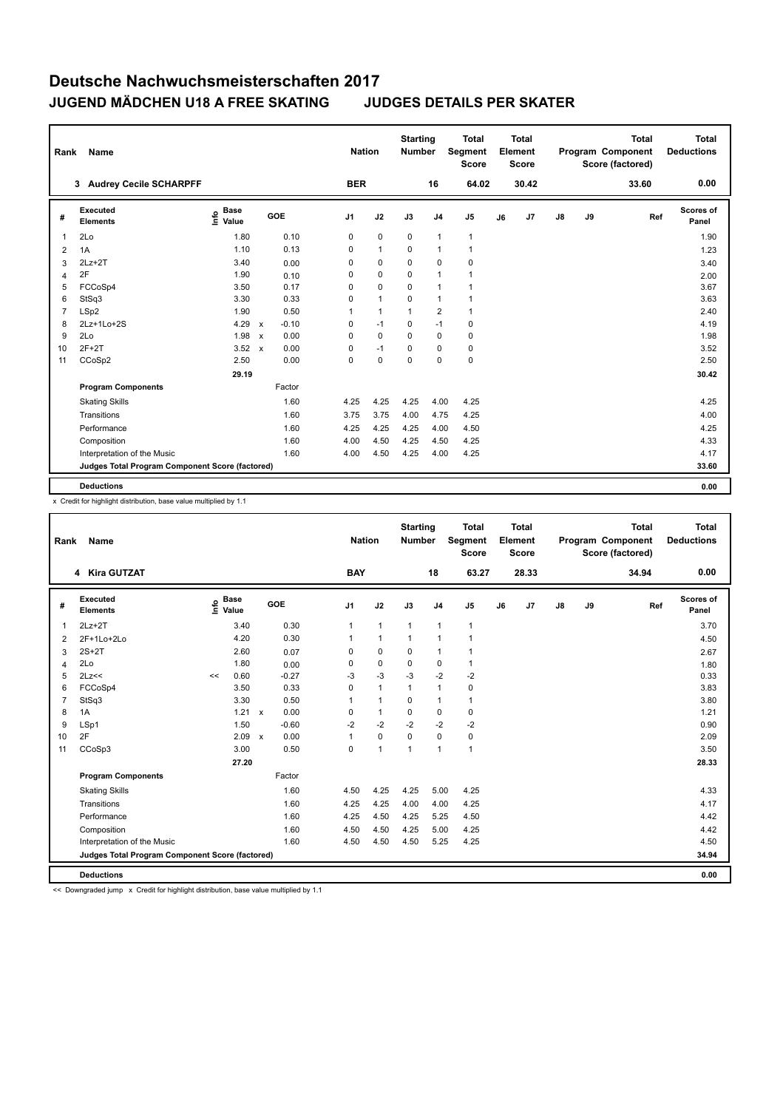| Rank                 | Name                                            |                              |              |         | <b>Nation</b>  |              | <b>Starting</b><br><b>Number</b> |                | <b>Total</b><br>Segment<br><b>Score</b> |    | <b>Total</b><br>Element<br><b>Score</b> |               |    | <b>Total</b><br>Program Component<br>Score (factored) | <b>Total</b><br><b>Deductions</b> |
|----------------------|-------------------------------------------------|------------------------------|--------------|---------|----------------|--------------|----------------------------------|----------------|-----------------------------------------|----|-----------------------------------------|---------------|----|-------------------------------------------------------|-----------------------------------|
| 3                    | <b>Audrey Cecile SCHARPFF</b>                   |                              |              |         | <b>BER</b>     |              |                                  | 16             | 64.02                                   |    | 30.42                                   |               |    | 33.60                                                 | 0.00                              |
| #                    | Executed<br><b>Elements</b>                     | <b>Base</b><br>lnfo<br>Value | GOE          |         | J <sub>1</sub> | J2           | J3                               | J <sub>4</sub> | J <sub>5</sub>                          | J6 | J7                                      | $\mathsf{J}8$ | J9 | Ref                                                   | <b>Scores of</b><br>Panel         |
| 2Lo<br>$\mathbf{1}$  |                                                 | 1.80                         |              | 0.10    | 0              | $\mathbf 0$  | 0                                | $\overline{1}$ | $\mathbf{1}$                            |    |                                         |               |    |                                                       | 1.90                              |
| $\overline{2}$<br>1A |                                                 | 1.10                         |              | 0.13    | 0              | $\mathbf{1}$ | $\Omega$                         | $\overline{1}$ | $\mathbf{1}$                            |    |                                         |               |    |                                                       | 1.23                              |
| 3                    | $2Lz+2T$                                        | 3.40                         |              | 0.00    | 0              | $\mathbf 0$  | 0                                | $\mathbf 0$    | $\mathbf 0$                             |    |                                         |               |    |                                                       | 3.40                              |
| 2F<br>$\overline{4}$ |                                                 | 1.90                         |              | 0.10    | 0              | 0            | 0                                | $\overline{1}$ | $\mathbf{1}$                            |    |                                         |               |    |                                                       | 2.00                              |
| 5                    | FCCoSp4                                         | 3.50                         |              | 0.17    | 0              | $\mathbf 0$  | $\Omega$                         | $\mathbf{1}$   | 1                                       |    |                                         |               |    |                                                       | 3.67                              |
| 6                    | StSq3                                           | 3.30                         |              | 0.33    | 0              | $\mathbf{1}$ | 0                                | $\overline{1}$ | $\mathbf{1}$                            |    |                                         |               |    |                                                       | 3.63                              |
| $\overline{7}$       | LSp2                                            | 1.90                         |              | 0.50    | 1              | $\mathbf{1}$ | $\overline{1}$                   | $\overline{2}$ | $\mathbf{1}$                            |    |                                         |               |    |                                                       | 2.40                              |
| 8                    | 2Lz+1Lo+2S                                      | 4.29                         | $\mathsf{x}$ | $-0.10$ | 0              | $-1$         | $\Omega$                         | $-1$           | 0                                       |    |                                         |               |    |                                                       | 4.19                              |
| 2Lo<br>9             |                                                 | 1.98                         | $\mathsf{x}$ | 0.00    | 0              | $\mathbf 0$  | $\Omega$                         | $\mathbf 0$    | $\mathbf 0$                             |    |                                         |               |    |                                                       | 1.98                              |
| 10                   | $2F+2T$                                         | 3.52                         | $\mathsf{x}$ | 0.00    | 0              | $-1$         | 0                                | $\mathbf 0$    | $\pmb{0}$                               |    |                                         |               |    |                                                       | 3.52                              |
| 11                   | CCoSp2                                          | 2.50                         |              | 0.00    | 0              | $\mathbf 0$  | $\Omega$                         | $\mathbf 0$    | $\mathbf 0$                             |    |                                         |               |    |                                                       | 2.50                              |
|                      |                                                 | 29.19                        |              |         |                |              |                                  |                |                                         |    |                                         |               |    |                                                       | 30.42                             |
|                      | <b>Program Components</b>                       |                              |              | Factor  |                |              |                                  |                |                                         |    |                                         |               |    |                                                       |                                   |
|                      | <b>Skating Skills</b>                           |                              |              | 1.60    | 4.25           | 4.25         | 4.25                             | 4.00           | 4.25                                    |    |                                         |               |    |                                                       | 4.25                              |
|                      | Transitions                                     |                              |              | 1.60    | 3.75           | 3.75         | 4.00                             | 4.75           | 4.25                                    |    |                                         |               |    |                                                       | 4.00                              |
|                      | Performance                                     |                              |              | 1.60    | 4.25           | 4.25         | 4.25                             | 4.00           | 4.50                                    |    |                                         |               |    |                                                       | 4.25                              |
|                      | Composition                                     |                              |              | 1.60    | 4.00           | 4.50         | 4.25                             | 4.50           | 4.25                                    |    |                                         |               |    |                                                       | 4.33                              |
|                      | Interpretation of the Music                     |                              |              | 1.60    | 4.00           | 4.50         | 4.25                             | 4.00           | 4.25                                    |    |                                         |               |    |                                                       | 4.17                              |
|                      | Judges Total Program Component Score (factored) |                              |              |         |                |              |                                  |                |                                         |    |                                         |               |    |                                                       | 33.60                             |
|                      | <b>Deductions</b>                               |                              |              |         |                |              |                                  |                |                                         |    |                                         |               |    |                                                       | 0.00                              |

x Credit for highlight distribution, base value multiplied by 1.1

| Rank           | Name                                            |      |                      |              |         |    | <b>Nation</b> |                | <b>Starting</b><br><b>Number</b> |                | <b>Total</b><br>Segment<br><b>Score</b> |    | <b>Total</b><br>Element<br><b>Score</b> |               |    | <b>Total</b><br>Program Component<br>Score (factored) | <b>Total</b><br><b>Deductions</b> |
|----------------|-------------------------------------------------|------|----------------------|--------------|---------|----|---------------|----------------|----------------------------------|----------------|-----------------------------------------|----|-----------------------------------------|---------------|----|-------------------------------------------------------|-----------------------------------|
|                | 4 Kira GUTZAT                                   |      |                      |              |         |    | <b>BAY</b>    |                |                                  | 18             | 63.27                                   |    | 28.33                                   |               |    | 34.94                                                 | 0.00                              |
| #              | Executed<br><b>Elements</b>                     | ١nf٥ | <b>Base</b><br>Value |              | GOE     | J1 |               | J2             | J3                               | J <sub>4</sub> | J <sub>5</sub>                          | J6 | J <sub>7</sub>                          | $\mathsf{J}8$ | J9 | Ref                                                   | Scores of<br>Panel                |
| 1              | $2Lz + 2T$                                      |      | 3.40                 |              | 0.30    |    | $\mathbf{1}$  | $\mathbf{1}$   | $\mathbf{1}$                     | $\mathbf{1}$   | $\mathbf{1}$                            |    |                                         |               |    |                                                       | 3.70                              |
| 2              | 2F+1Lo+2Lo                                      |      | 4.20                 |              | 0.30    |    |               | $\mathbf{1}$   | $\mathbf{1}$                     | $\mathbf{1}$   | $\mathbf{1}$                            |    |                                         |               |    |                                                       | 4.50                              |
| 3              | $2S+2T$                                         |      | 2.60                 |              | 0.07    |    | 0             | $\mathbf 0$    | $\mathbf 0$                      | $\mathbf{1}$   | $\mathbf{1}$                            |    |                                         |               |    |                                                       | 2.67                              |
| 4              | 2Lo                                             |      | 1.80                 |              | 0.00    |    | 0             | $\mathbf 0$    | $\mathbf 0$                      | $\mathbf 0$    | $\mathbf{1}$                            |    |                                         |               |    |                                                       | 1.80                              |
| 5              | 2Lz<<                                           | <<   | 0.60                 |              | $-0.27$ |    | -3            | $-3$           | -3                               | $-2$           | $-2$                                    |    |                                         |               |    |                                                       | 0.33                              |
| 6              | FCCoSp4                                         |      | 3.50                 |              | 0.33    |    | 0             | $\mathbf{1}$   | $\mathbf{1}$                     | $\mathbf{1}$   | 0                                       |    |                                         |               |    |                                                       | 3.83                              |
| $\overline{7}$ | StSq3                                           |      | 3.30                 |              | 0.50    |    | 1             | $\mathbf{1}$   | $\mathbf 0$                      | $\mathbf{1}$   | $\mathbf{1}$                            |    |                                         |               |    |                                                       | 3.80                              |
| 8              | 1A                                              |      | 1.21                 | $\mathsf{x}$ | 0.00    |    | 0             | $\mathbf{1}$   | $\mathbf 0$                      | $\mathbf 0$    | 0                                       |    |                                         |               |    |                                                       | 1.21                              |
| 9              | LSp1                                            |      | 1.50                 |              | $-0.60$ |    | $-2$          | $-2$           | $-2$                             | $-2$           | $-2$                                    |    |                                         |               |    |                                                       | 0.90                              |
| 10             | 2F                                              |      | 2.09                 | $\mathsf{x}$ | 0.00    | 1  |               | $\mathbf 0$    | $\mathbf 0$                      | $\mathbf 0$    | 0                                       |    |                                         |               |    |                                                       | 2.09                              |
| 11             | CCoSp3                                          |      | 3.00                 |              | 0.50    |    | 0             | $\overline{1}$ | 1                                | $\mathbf{1}$   | $\mathbf{1}$                            |    |                                         |               |    |                                                       | 3.50                              |
|                |                                                 |      | 27.20                |              |         |    |               |                |                                  |                |                                         |    |                                         |               |    |                                                       | 28.33                             |
|                | <b>Program Components</b>                       |      |                      |              | Factor  |    |               |                |                                  |                |                                         |    |                                         |               |    |                                                       |                                   |
|                | <b>Skating Skills</b>                           |      |                      |              | 1.60    |    | 4.50          | 4.25           | 4.25                             | 5.00           | 4.25                                    |    |                                         |               |    |                                                       | 4.33                              |
|                | Transitions                                     |      |                      |              | 1.60    |    | 4.25          | 4.25           | 4.00                             | 4.00           | 4.25                                    |    |                                         |               |    |                                                       | 4.17                              |
|                | Performance                                     |      |                      |              | 1.60    |    | 4.25          | 4.50           | 4.25                             | 5.25           | 4.50                                    |    |                                         |               |    |                                                       | 4.42                              |
|                | Composition                                     |      |                      |              | 1.60    |    | 4.50          | 4.50           | 4.25                             | 5.00           | 4.25                                    |    |                                         |               |    |                                                       | 4.42                              |
|                | Interpretation of the Music                     |      |                      |              | 1.60    |    | 4.50          | 4.50           | 4.50                             | 5.25           | 4.25                                    |    |                                         |               |    |                                                       | 4.50                              |
|                | Judges Total Program Component Score (factored) |      |                      |              |         |    |               |                |                                  |                |                                         |    |                                         |               |    |                                                       | 34.94                             |
|                | <b>Deductions</b>                               |      |                      |              |         |    |               |                |                                  |                |                                         |    |                                         |               |    |                                                       | 0.00                              |

<< Downgraded jump x Credit for highlight distribution, base value multiplied by 1.1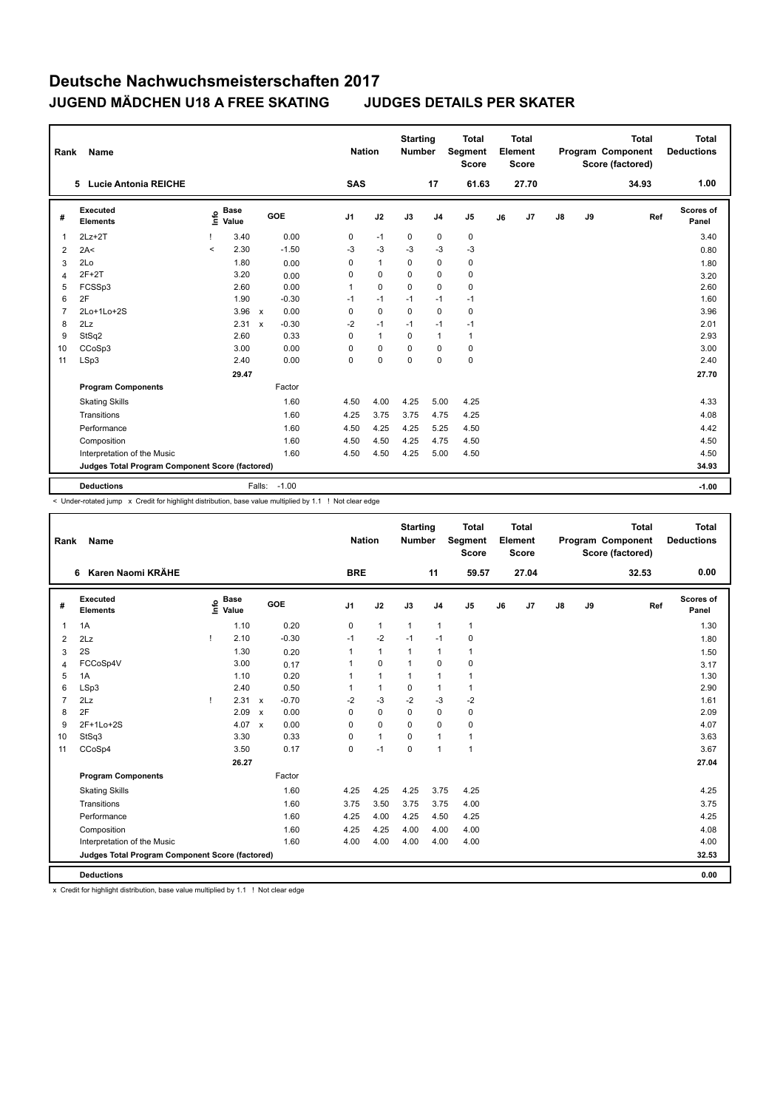| Rank           | Name                                            |         |                      |              |         | <b>Nation</b>  |                | <b>Starting</b><br><b>Number</b> |                | <b>Total</b><br><b>Segment</b><br><b>Score</b> |    | <b>Total</b><br>Element<br><b>Score</b> |               |    | <b>Total</b><br>Program Component<br>Score (factored) | <b>Total</b><br><b>Deductions</b> |
|----------------|-------------------------------------------------|---------|----------------------|--------------|---------|----------------|----------------|----------------------------------|----------------|------------------------------------------------|----|-----------------------------------------|---------------|----|-------------------------------------------------------|-----------------------------------|
|                | 5 Lucie Antonia REICHE                          |         |                      |              |         | <b>SAS</b>     |                |                                  | 17             | 61.63                                          |    | 27.70                                   |               |    | 34.93                                                 | 1.00                              |
| #              | Executed<br><b>Elements</b>                     | Info    | <b>Base</b><br>Value |              | GOE     | J <sub>1</sub> | J2             | J3                               | J <sub>4</sub> | J <sub>5</sub>                                 | J6 | J7                                      | $\mathsf{J}8$ | J9 | Ref                                                   | <b>Scores of</b><br>Panel         |
| 1              | $2Lz + 2T$                                      |         | 3.40                 |              | 0.00    | 0              | $-1$           | 0                                | 0              | 0                                              |    |                                         |               |    |                                                       | 3.40                              |
| 2              | 2A<                                             | $\prec$ | 2.30                 |              | $-1.50$ | -3             | $-3$           | $-3$                             | $-3$           | $-3$                                           |    |                                         |               |    |                                                       | 0.80                              |
| 3              | 2Lo                                             |         | 1.80                 |              | 0.00    | 0              | $\overline{1}$ | 0                                | $\mathbf 0$    | 0                                              |    |                                         |               |    |                                                       | 1.80                              |
| 4              | $2F+2T$                                         |         | 3.20                 |              | 0.00    | 0              | 0              | 0                                | 0              | 0                                              |    |                                         |               |    |                                                       | 3.20                              |
| 5              | FCSSp3                                          |         | 2.60                 |              | 0.00    | 1              | $\Omega$       | $\Omega$                         | 0              | 0                                              |    |                                         |               |    |                                                       | 2.60                              |
| 6              | 2F                                              |         | 1.90                 |              | $-0.30$ | $-1$           | $-1$           | $-1$                             | $-1$           | $-1$                                           |    |                                         |               |    |                                                       | 1.60                              |
| $\overline{7}$ | 2Lo+1Lo+2S                                      |         | 3.96 x               |              | 0.00    | $\mathbf 0$    | $\mathbf 0$    | $\mathbf 0$                      | $\mathbf 0$    | 0                                              |    |                                         |               |    |                                                       | 3.96                              |
| 8              | 2Lz                                             |         | 2.31                 | $\mathsf{x}$ | $-0.30$ | $-2$           | $-1$           | $-1$                             | $-1$           | $-1$                                           |    |                                         |               |    |                                                       | 2.01                              |
| 9              | StSq2                                           |         | 2.60                 |              | 0.33    | $\Omega$       | $\overline{1}$ | $\Omega$                         | $\overline{1}$ | $\mathbf{1}$                                   |    |                                         |               |    |                                                       | 2.93                              |
| 10             | CCoSp3                                          |         | 3.00                 |              | 0.00    | 0              | $\mathbf 0$    | $\mathbf 0$                      | $\mathbf 0$    | $\pmb{0}$                                      |    |                                         |               |    |                                                       | 3.00                              |
| 11             | LSp3                                            |         | 2.40                 |              | 0.00    | 0              | $\mathbf 0$    | $\mathbf 0$                      | $\mathbf 0$    | $\mathbf 0$                                    |    |                                         |               |    |                                                       | 2.40                              |
|                |                                                 |         | 29.47                |              |         |                |                |                                  |                |                                                |    |                                         |               |    |                                                       | 27.70                             |
|                | <b>Program Components</b>                       |         |                      |              | Factor  |                |                |                                  |                |                                                |    |                                         |               |    |                                                       |                                   |
|                | <b>Skating Skills</b>                           |         |                      |              | 1.60    | 4.50           | 4.00           | 4.25                             | 5.00           | 4.25                                           |    |                                         |               |    |                                                       | 4.33                              |
|                | Transitions                                     |         |                      |              | 1.60    | 4.25           | 3.75           | 3.75                             | 4.75           | 4.25                                           |    |                                         |               |    |                                                       | 4.08                              |
|                | Performance                                     |         |                      |              | 1.60    | 4.50           | 4.25           | 4.25                             | 5.25           | 4.50                                           |    |                                         |               |    |                                                       | 4.42                              |
|                | Composition                                     |         |                      |              | 1.60    | 4.50           | 4.50           | 4.25                             | 4.75           | 4.50                                           |    |                                         |               |    |                                                       | 4.50                              |
|                | Interpretation of the Music                     |         |                      |              | 1.60    | 4.50           | 4.50           | 4.25                             | 5.00           | 4.50                                           |    |                                         |               |    |                                                       | 4.50                              |
|                | Judges Total Program Component Score (factored) |         |                      |              |         |                |                |                                  |                |                                                |    |                                         |               |    |                                                       | 34.93                             |
|                | <b>Deductions</b>                               |         |                      | Falls:       | $-1.00$ |                |                |                                  |                |                                                |    |                                         |               |    |                                                       | $-1.00$                           |

< Under-rotated jump x Credit for highlight distribution, base value multiplied by 1.1 ! Not clear edge

| Rank           | Name                                            |      |                      |                           |         | <b>Nation</b>  |              | <b>Starting</b><br><b>Number</b> |                | <b>Total</b><br><b>Segment</b><br><b>Score</b> |    | <b>Total</b><br>Element<br><b>Score</b> |               |    | <b>Total</b><br>Program Component<br>Score (factored) | Total<br><b>Deductions</b> |
|----------------|-------------------------------------------------|------|----------------------|---------------------------|---------|----------------|--------------|----------------------------------|----------------|------------------------------------------------|----|-----------------------------------------|---------------|----|-------------------------------------------------------|----------------------------|
|                | 6 Karen Naomi KRÄHE                             |      |                      |                           |         | <b>BRE</b>     |              |                                  | 11             | 59.57                                          |    | 27.04                                   |               |    | 32.53                                                 | 0.00                       |
| #              | Executed<br><b>Elements</b>                     | ١nf٥ | <b>Base</b><br>Value |                           | GOE     | J <sub>1</sub> | J2           | J3                               | J <sub>4</sub> | J <sub>5</sub>                                 | J6 | J7                                      | $\mathsf{J}8$ | J9 | Ref                                                   | Scores of<br>Panel         |
| 1              | 1A                                              |      | 1.10                 |                           | 0.20    | 0              | $\mathbf{1}$ | $\mathbf{1}$                     | $\overline{1}$ | $\mathbf{1}$                                   |    |                                         |               |    |                                                       | 1.30                       |
| 2              | 2Lz                                             | -1   | 2.10                 |                           | $-0.30$ | $-1$           | $-2$         | $-1$                             | $-1$           | 0                                              |    |                                         |               |    |                                                       | 1.80                       |
| 3              | 2S                                              |      | 1.30                 |                           | 0.20    | $\overline{1}$ | $\mathbf{1}$ | $\mathbf{1}$                     | $\overline{1}$ | $\mathbf{1}$                                   |    |                                         |               |    |                                                       | 1.50                       |
| 4              | FCCoSp4V                                        |      | 3.00                 |                           | 0.17    | 1              | $\mathbf 0$  | $\overline{1}$                   | $\mathbf 0$    | $\mathbf 0$                                    |    |                                         |               |    |                                                       | 3.17                       |
| 5              | 1A                                              |      | 1.10                 |                           | 0.20    |                | $\mathbf{1}$ | 1                                | $\overline{1}$ | $\mathbf{1}$                                   |    |                                         |               |    |                                                       | 1.30                       |
| 6              | LSp3                                            |      | 2.40                 |                           | 0.50    | 1              | $\mathbf{1}$ | 0                                | $\mathbf{1}$   | $\mathbf{1}$                                   |    |                                         |               |    |                                                       | 2.90                       |
| $\overline{7}$ | 2Lz                                             |      | 2.31                 | $\boldsymbol{\mathsf{x}}$ | $-0.70$ | $-2$           | $-3$         | $-2$                             | $-3$           | $-2$                                           |    |                                         |               |    |                                                       | 1.61                       |
| 8              | 2F                                              |      | 2.09                 | $\mathsf{x}$              | 0.00    | $\Omega$       | $\Omega$     | $\Omega$                         | $\mathbf 0$    | 0                                              |    |                                         |               |    |                                                       | 2.09                       |
| 9              | 2F+1Lo+2S                                       |      | 4.07                 | $\mathbf x$               | 0.00    | $\Omega$       | $\mathbf 0$  | $\Omega$                         | $\Omega$       | 0                                              |    |                                         |               |    |                                                       | 4.07                       |
| 10             | StSq3                                           |      | 3.30                 |                           | 0.33    | $\Omega$       | $\mathbf{1}$ | $\Omega$                         | $\overline{1}$ | $\mathbf{1}$                                   |    |                                         |               |    |                                                       | 3.63                       |
| 11             | CCoSp4                                          |      | 3.50                 |                           | 0.17    | 0              | $-1$         | 0                                | $\overline{1}$ | $\mathbf{1}$                                   |    |                                         |               |    |                                                       | 3.67                       |
|                |                                                 |      | 26.27                |                           |         |                |              |                                  |                |                                                |    |                                         |               |    |                                                       | 27.04                      |
|                | <b>Program Components</b>                       |      |                      |                           | Factor  |                |              |                                  |                |                                                |    |                                         |               |    |                                                       |                            |
|                | <b>Skating Skills</b>                           |      |                      |                           | 1.60    | 4.25           | 4.25         | 4.25                             | 3.75           | 4.25                                           |    |                                         |               |    |                                                       | 4.25                       |
|                | Transitions                                     |      |                      |                           | 1.60    | 3.75           | 3.50         | 3.75                             | 3.75           | 4.00                                           |    |                                         |               |    |                                                       | 3.75                       |
|                | Performance                                     |      |                      |                           | 1.60    | 4.25           | 4.00         | 4.25                             | 4.50           | 4.25                                           |    |                                         |               |    |                                                       | 4.25                       |
|                | Composition                                     |      |                      |                           | 1.60    | 4.25           | 4.25         | 4.00                             | 4.00           | 4.00                                           |    |                                         |               |    |                                                       | 4.08                       |
|                | Interpretation of the Music                     |      |                      |                           | 1.60    | 4.00           | 4.00         | 4.00                             | 4.00           | 4.00                                           |    |                                         |               |    |                                                       | 4.00                       |
|                | Judges Total Program Component Score (factored) |      |                      |                           |         |                |              |                                  |                |                                                |    |                                         |               |    |                                                       | 32.53                      |
|                | <b>Deductions</b>                               |      |                      |                           |         |                |              |                                  |                |                                                |    |                                         |               |    |                                                       | 0.00                       |

x Credit for highlight distribution, base value multiplied by 1.1 ! Not clear edge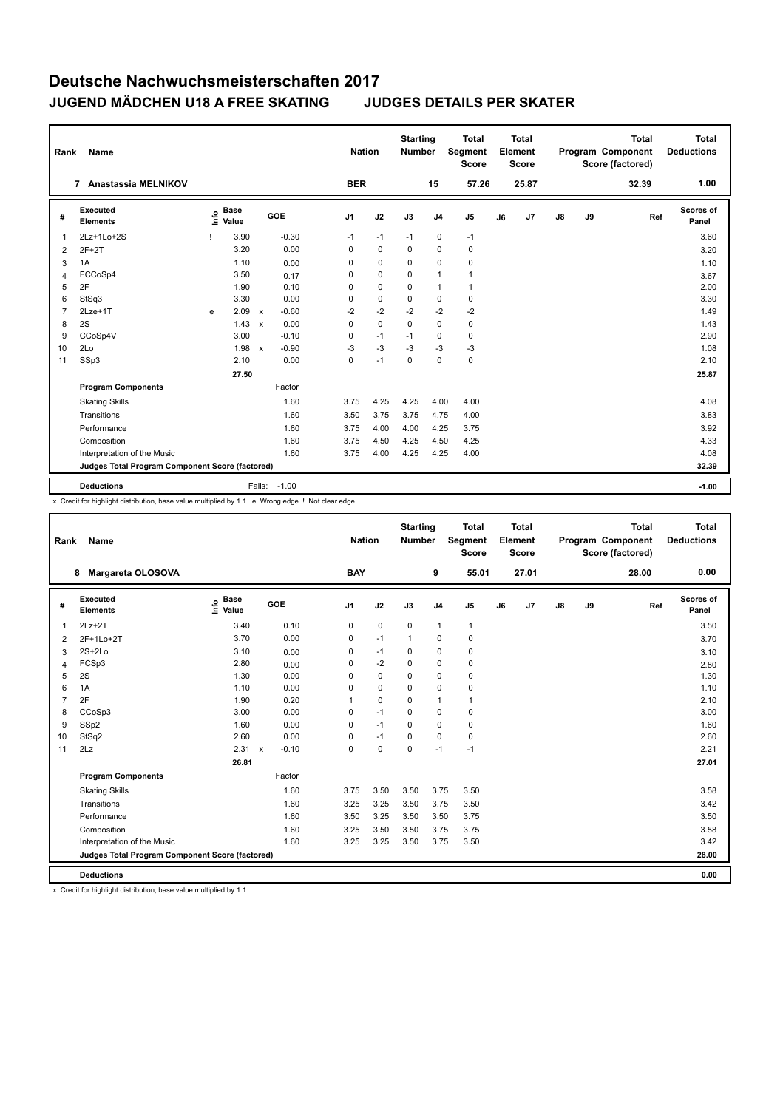| Rank | <b>Name</b>                                     |      |                      |              |         |                | <b>Nation</b> |             | <b>Starting</b><br><b>Number</b> |                | <b>Total</b><br>Segment<br><b>Score</b> |    | <b>Total</b><br>Element<br><b>Score</b> |               |    | <b>Total</b><br>Program Component<br>Score (factored) | Total<br><b>Deductions</b> |
|------|-------------------------------------------------|------|----------------------|--------------|---------|----------------|---------------|-------------|----------------------------------|----------------|-----------------------------------------|----|-----------------------------------------|---------------|----|-------------------------------------------------------|----------------------------|
|      | <b>Anastassia MELNIKOV</b><br>$\overline{7}$    |      |                      |              |         |                | <b>BER</b>    |             |                                  | 15             | 57.26                                   |    | 25.87                                   |               |    | 32.39                                                 | 1.00                       |
| #    | Executed<br><b>Elements</b>                     | ١nf٥ | <b>Base</b><br>Value |              | GOE     | J <sub>1</sub> |               | J2          | J3                               | J <sub>4</sub> | J <sub>5</sub>                          | J6 | J <sub>7</sub>                          | $\mathsf{J}8$ | J9 | Ref                                                   | <b>Scores of</b><br>Panel  |
| 1    | 2Lz+1Lo+2S                                      |      | 3.90                 |              | $-0.30$ |                | $-1$          | $-1$        | $-1$                             | 0              | $-1$                                    |    |                                         |               |    |                                                       | 3.60                       |
| 2    | $2F+2T$                                         |      | 3.20                 |              | 0.00    |                | $\Omega$      | $\mathbf 0$ | $\Omega$                         | 0              | 0                                       |    |                                         |               |    |                                                       | 3.20                       |
| 3    | 1A                                              |      | 1.10                 |              | 0.00    |                | 0             | $\mathbf 0$ | 0                                | 0              | 0                                       |    |                                         |               |    |                                                       | 1.10                       |
| 4    | FCCoSp4                                         |      | 3.50                 |              | 0.17    |                | 0             | $\mathbf 0$ | 0                                | 1              | $\mathbf{1}$                            |    |                                         |               |    |                                                       | 3.67                       |
| 5    | 2F                                              |      | 1.90                 |              | 0.10    |                | $\Omega$      | $\mathbf 0$ | $\Omega$                         | 1              | $\mathbf{1}$                            |    |                                         |               |    |                                                       | 2.00                       |
| 6    | StSq3                                           |      | 3.30                 |              | 0.00    |                | 0             | $\mathbf 0$ | $\mathbf 0$                      | $\mathbf 0$    | $\pmb{0}$                               |    |                                         |               |    |                                                       | 3.30                       |
|      | 2Lze+1T                                         | e    | 2.09                 | $\mathsf{x}$ | $-0.60$ |                | $-2$          | $-2$        | $-2$                             | $-2$           | $-2$                                    |    |                                         |               |    |                                                       | 1.49                       |
| 8    | 2S                                              |      | 1.43                 | $\mathsf{x}$ | 0.00    |                | $\Omega$      | $\mathbf 0$ | $\mathbf 0$                      | $\mathbf 0$    | 0                                       |    |                                         |               |    |                                                       | 1.43                       |
| 9    | CCoSp4V                                         |      | 3.00                 |              | $-0.10$ |                | 0             | $-1$        | $-1$                             | 0              | 0                                       |    |                                         |               |    |                                                       | 2.90                       |
| 10   | 2Lo                                             |      | 1.98                 | $\mathbf{x}$ | $-0.90$ |                | $-3$          | $-3$        | $-3$                             | $-3$           | $-3$                                    |    |                                         |               |    |                                                       | 1.08                       |
| 11   | SSp3                                            |      | 2.10                 |              | 0.00    |                | 0             | $-1$        | $\Omega$                         | $\mathbf 0$    | $\mathbf 0$                             |    |                                         |               |    |                                                       | 2.10                       |
|      |                                                 |      | 27.50                |              |         |                |               |             |                                  |                |                                         |    |                                         |               |    |                                                       | 25.87                      |
|      | <b>Program Components</b>                       |      |                      |              | Factor  |                |               |             |                                  |                |                                         |    |                                         |               |    |                                                       |                            |
|      | <b>Skating Skills</b>                           |      |                      |              | 1.60    |                | 3.75          | 4.25        | 4.25                             | 4.00           | 4.00                                    |    |                                         |               |    |                                                       | 4.08                       |
|      | Transitions                                     |      |                      |              | 1.60    |                | 3.50          | 3.75        | 3.75                             | 4.75           | 4.00                                    |    |                                         |               |    |                                                       | 3.83                       |
|      | Performance                                     |      |                      |              | 1.60    |                | 3.75          | 4.00        | 4.00                             | 4.25           | 3.75                                    |    |                                         |               |    |                                                       | 3.92                       |
|      | Composition                                     |      |                      |              | 1.60    |                | 3.75          | 4.50        | 4.25                             | 4.50           | 4.25                                    |    |                                         |               |    |                                                       | 4.33                       |
|      | Interpretation of the Music                     |      |                      |              | 1.60    |                | 3.75          | 4.00        | 4.25                             | 4.25           | 4.00                                    |    |                                         |               |    |                                                       | 4.08                       |
|      | Judges Total Program Component Score (factored) |      |                      |              |         |                |               |             |                                  |                |                                         |    |                                         |               |    |                                                       | 32.39                      |
|      |                                                 |      |                      |              |         |                |               |             |                                  |                |                                         |    |                                         |               |    |                                                       |                            |
|      | <b>Deductions</b>                               |      |                      | Falls:       | $-1.00$ |                |               |             |                                  |                |                                         |    |                                         |               |    |                                                       | $-1.00$                    |

x Credit for highlight distribution, base value multiplied by 1.1 e Wrong edge ! Not clear edge

| Rank           | <b>Name</b>                                     |                            |                           |         | <b>Nation</b>  |             | <b>Starting</b><br><b>Number</b> |                | <b>Total</b><br>Segment<br><b>Score</b> |    | <b>Total</b><br>Element<br><b>Score</b> |    |    | <b>Total</b><br>Program Component<br>Score (factored) | <b>Total</b><br><b>Deductions</b> |
|----------------|-------------------------------------------------|----------------------------|---------------------------|---------|----------------|-------------|----------------------------------|----------------|-----------------------------------------|----|-----------------------------------------|----|----|-------------------------------------------------------|-----------------------------------|
|                | Margareta OLOSOVA<br>8                          |                            |                           |         | <b>BAY</b>     |             |                                  | 9              | 55.01                                   |    | 27.01                                   |    |    | 28.00                                                 | 0.00                              |
| #              | <b>Executed</b><br><b>Elements</b>              | <b>Base</b><br>۴ů<br>Value |                           | GOE     | J <sub>1</sub> | J2          | J3                               | J <sub>4</sub> | J <sub>5</sub>                          | J6 | J7                                      | J8 | J9 | Ref                                                   | <b>Scores of</b><br>Panel         |
| 1              | $2Lz+2T$                                        | 3.40                       |                           | 0.10    | 0              | $\pmb{0}$   | $\mathbf 0$                      | $\mathbf{1}$   | $\mathbf{1}$                            |    |                                         |    |    |                                                       | 3.50                              |
| $\overline{2}$ | 2F+1Lo+2T                                       | 3.70                       |                           | 0.00    | 0              | $-1$        | $\mathbf{1}$                     | $\mathbf 0$    | 0                                       |    |                                         |    |    |                                                       | 3.70                              |
| 3              | $2S+2Lo$                                        | 3.10                       |                           | 0.00    | 0              | $-1$        | 0                                | $\mathbf 0$    | 0                                       |    |                                         |    |    |                                                       | 3.10                              |
| 4              | FCSp3                                           | 2.80                       |                           | 0.00    | 0              | $-2$        | $\Omega$                         | $\mathbf 0$    | 0                                       |    |                                         |    |    |                                                       | 2.80                              |
| 5              | 2S                                              | 1.30                       |                           | 0.00    | 0              | $\mathbf 0$ | $\Omega$                         | $\mathbf 0$    | 0                                       |    |                                         |    |    |                                                       | 1.30                              |
| 6              | 1A                                              | 1.10                       |                           | 0.00    | 0              | $\mathbf 0$ | $\mathbf 0$                      | $\mathbf 0$    | 0                                       |    |                                         |    |    |                                                       | 1.10                              |
| $\overline{7}$ | 2F                                              | 1.90                       |                           | 0.20    | 1              | $\mathbf 0$ | 0                                | $\mathbf{1}$   | $\mathbf{1}$                            |    |                                         |    |    |                                                       | 2.10                              |
| 8              | CCoSp3                                          | 3.00                       |                           | 0.00    | 0              | $-1$        | $\mathbf 0$                      | $\mathbf 0$    | $\mathbf 0$                             |    |                                         |    |    |                                                       | 3.00                              |
| 9              | SSp2                                            | 1.60                       |                           | 0.00    | 0              | $-1$        | $\Omega$                         | $\mathbf 0$    | $\mathbf 0$                             |    |                                         |    |    |                                                       | 1.60                              |
| 10             | StSq2                                           | 2.60                       |                           | 0.00    | 0              | $-1$        | 0                                | $\mathbf 0$    | 0                                       |    |                                         |    |    |                                                       | 2.60                              |
| 11             | 2Lz                                             | 2.31                       | $\boldsymbol{\mathsf{x}}$ | $-0.10$ | 0              | $\mathbf 0$ | $\mathbf 0$                      | $-1$           | $-1$                                    |    |                                         |    |    |                                                       | 2.21                              |
|                |                                                 | 26.81                      |                           |         |                |             |                                  |                |                                         |    |                                         |    |    |                                                       | 27.01                             |
|                | <b>Program Components</b>                       |                            |                           | Factor  |                |             |                                  |                |                                         |    |                                         |    |    |                                                       |                                   |
|                | <b>Skating Skills</b>                           |                            |                           | 1.60    | 3.75           | 3.50        | 3.50                             | 3.75           | 3.50                                    |    |                                         |    |    |                                                       | 3.58                              |
|                | Transitions                                     |                            |                           | 1.60    | 3.25           | 3.25        | 3.50                             | 3.75           | 3.50                                    |    |                                         |    |    |                                                       | 3.42                              |
|                | Performance                                     |                            |                           | 1.60    | 3.50           | 3.25        | 3.50                             | 3.50           | 3.75                                    |    |                                         |    |    |                                                       | 3.50                              |
|                | Composition                                     |                            |                           | 1.60    | 3.25           | 3.50        | 3.50                             | 3.75           | 3.75                                    |    |                                         |    |    |                                                       | 3.58                              |
|                | Interpretation of the Music                     |                            |                           | 1.60    | 3.25           | 3.25        | 3.50                             | 3.75           | 3.50                                    |    |                                         |    |    |                                                       | 3.42                              |
|                | Judges Total Program Component Score (factored) |                            |                           |         |                |             |                                  |                |                                         |    |                                         |    |    |                                                       | 28.00                             |
|                | <b>Deductions</b>                               |                            |                           |         |                |             |                                  |                |                                         |    |                                         |    |    |                                                       | 0.00                              |

x Credit for highlight distribution, base value multiplied by 1.1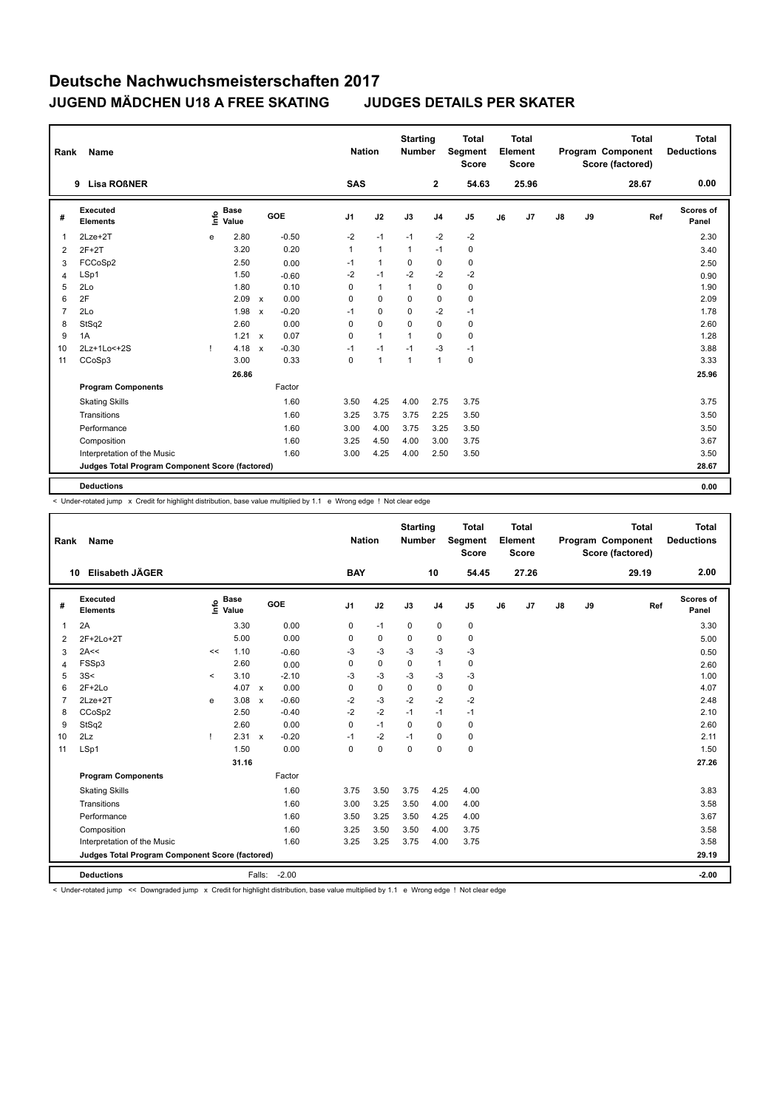| Rank           | <b>Name</b>                                     |      |                      |              |         | <b>Nation</b>  |                | <b>Starting</b><br><b>Number</b> |                | <b>Total</b><br><b>Segment</b><br><b>Score</b> |    | <b>Total</b><br>Element<br><b>Score</b> |               |    | <b>Total</b><br>Program Component<br>Score (factored) | <b>Total</b><br><b>Deductions</b> |
|----------------|-------------------------------------------------|------|----------------------|--------------|---------|----------------|----------------|----------------------------------|----------------|------------------------------------------------|----|-----------------------------------------|---------------|----|-------------------------------------------------------|-----------------------------------|
|                | <b>Lisa ROBNER</b><br>9                         |      |                      |              |         | <b>SAS</b>     |                |                                  | $\mathbf{2}$   | 54.63                                          |    | 25.96                                   |               |    | 28.67                                                 | 0.00                              |
| #              | Executed<br><b>Elements</b>                     | ١nf٥ | <b>Base</b><br>Value |              | GOE     | J <sub>1</sub> | J2             | J3                               | J <sub>4</sub> | J <sub>5</sub>                                 | J6 | J7                                      | $\mathsf{J}8$ | J9 | Ref                                                   | <b>Scores of</b><br>Panel         |
| 1              | 2Lze+2T                                         | e    | 2.80                 |              | $-0.50$ | $-2$           | $-1$           | $-1$                             | $-2$           | $-2$                                           |    |                                         |               |    |                                                       | 2.30                              |
| 2              | $2F+2T$                                         |      | 3.20                 |              | 0.20    | $\mathbf{1}$   | $\mathbf{1}$   | $\mathbf{1}$                     | $-1$           | 0                                              |    |                                         |               |    |                                                       | 3.40                              |
| 3              | FCCoSp2                                         |      | 2.50                 |              | 0.00    | $-1$           | $\overline{1}$ | 0                                | $\mathbf 0$    | 0                                              |    |                                         |               |    |                                                       | 2.50                              |
| 4              | LSp1                                            |      | 1.50                 |              | $-0.60$ | $-2$           | $-1$           | $-2$                             | $-2$           | $-2$                                           |    |                                         |               |    |                                                       | 0.90                              |
| 5              | 2Lo                                             |      | 1.80                 |              | 0.10    | $\Omega$       | $\mathbf{1}$   | 1                                | $\mathbf 0$    | $\pmb{0}$                                      |    |                                         |               |    |                                                       | 1.90                              |
| 6              | 2F                                              |      | 2.09                 | $\mathsf{x}$ | 0.00    | 0              | $\mathbf 0$    | 0                                | $\pmb{0}$      | $\pmb{0}$                                      |    |                                         |               |    |                                                       | 2.09                              |
| $\overline{7}$ | 2Lo                                             |      | 1.98                 | $\mathsf{x}$ | $-0.20$ | $-1$           | $\mathbf 0$    | $\mathbf 0$                      | $-2$           | $-1$                                           |    |                                         |               |    |                                                       | 1.78                              |
| 8              | StSq2                                           |      | 2.60                 |              | 0.00    | $\Omega$       | $\mathbf 0$    | $\Omega$                         | $\mathbf 0$    | 0                                              |    |                                         |               |    |                                                       | 2.60                              |
| 9              | 1A                                              |      | $1.21 \times$        |              | 0.07    | 0              | $\mathbf{1}$   | 1                                | 0              | 0                                              |    |                                         |               |    |                                                       | 1.28                              |
| 10             | 2Lz+1Lo<+2S                                     | Ţ    | 4.18                 | $\mathsf{x}$ | $-0.30$ | $-1$           | $-1$           | $-1$                             | $-3$           | $-1$                                           |    |                                         |               |    |                                                       | 3.88                              |
| 11             | CCoSp3                                          |      | 3.00                 |              | 0.33    | $\mathbf 0$    | $\overline{1}$ | $\overline{1}$                   | $\overline{1}$ | $\mathbf 0$                                    |    |                                         |               |    |                                                       | 3.33                              |
|                |                                                 |      | 26.86                |              |         |                |                |                                  |                |                                                |    |                                         |               |    |                                                       | 25.96                             |
|                | <b>Program Components</b>                       |      |                      |              | Factor  |                |                |                                  |                |                                                |    |                                         |               |    |                                                       |                                   |
|                | <b>Skating Skills</b>                           |      |                      |              | 1.60    | 3.50           | 4.25           | 4.00                             | 2.75           | 3.75                                           |    |                                         |               |    |                                                       | 3.75                              |
|                | Transitions                                     |      |                      |              | 1.60    | 3.25           | 3.75           | 3.75                             | 2.25           | 3.50                                           |    |                                         |               |    |                                                       | 3.50                              |
|                | Performance                                     |      |                      |              | 1.60    | 3.00           | 4.00           | 3.75                             | 3.25           | 3.50                                           |    |                                         |               |    |                                                       | 3.50                              |
|                | Composition                                     |      |                      |              | 1.60    | 3.25           | 4.50           | 4.00                             | 3.00           | 3.75                                           |    |                                         |               |    |                                                       | 3.67                              |
|                | Interpretation of the Music                     |      |                      |              | 1.60    | 3.00           | 4.25           | 4.00                             | 2.50           | 3.50                                           |    |                                         |               |    |                                                       | 3.50                              |
|                | Judges Total Program Component Score (factored) |      |                      |              |         |                |                |                                  |                |                                                |    |                                         |               |    |                                                       | 28.67                             |
|                |                                                 |      |                      |              |         |                |                |                                  |                |                                                |    |                                         |               |    |                                                       |                                   |
|                | <b>Deductions</b>                               |      |                      |              |         |                |                |                                  |                |                                                |    |                                         |               |    |                                                       | 0.00                              |

< Under-rotated jump x Credit for highlight distribution, base value multiplied by 1.1 e Wrong edge ! Not clear edge

| Rank | Name                                            |         |                                  |                           |            |                | <b>Nation</b> | <b>Starting</b><br><b>Number</b> |                | <b>Total</b><br>Segment<br><b>Score</b> |    | <b>Total</b><br>Element<br><b>Score</b> |               |    | <b>Total</b><br>Program Component<br>Score (factored) | <b>Total</b><br><b>Deductions</b> |
|------|-------------------------------------------------|---------|----------------------------------|---------------------------|------------|----------------|---------------|----------------------------------|----------------|-----------------------------------------|----|-----------------------------------------|---------------|----|-------------------------------------------------------|-----------------------------------|
|      | Elisabeth JÄGER<br>10                           |         |                                  |                           |            | <b>BAY</b>     |               |                                  | 10             | 54.45                                   |    | 27.26                                   |               |    | 29.19                                                 | 2.00                              |
| #    | Executed<br><b>Elements</b>                     |         | <b>Base</b><br>e Base<br>⊆ Value |                           | <b>GOE</b> | J <sub>1</sub> | J2            | J3                               | J <sub>4</sub> | J <sub>5</sub>                          | J6 | J7                                      | $\mathsf{J}8$ | J9 | Ref                                                   | Scores of<br>Panel                |
| 1    | 2A                                              |         | 3.30                             |                           | 0.00       | 0              | $-1$          | 0                                | $\mathbf 0$    | $\mathbf 0$                             |    |                                         |               |    |                                                       | 3.30                              |
| 2    | 2F+2Lo+2T                                       |         | 5.00                             |                           | 0.00       | 0              | $\mathbf 0$   | 0                                | 0              | 0                                       |    |                                         |               |    |                                                       | 5.00                              |
| 3    | 2A<<                                            | <<      | 1.10                             |                           | $-0.60$    | $-3$           | $-3$          | $-3$                             | $-3$           | $-3$                                    |    |                                         |               |    |                                                       | 0.50                              |
| 4    | FSSp3                                           |         | 2.60                             |                           | 0.00       | 0              | $\mathbf 0$   | $\mathbf 0$                      | $\mathbf{1}$   | 0                                       |    |                                         |               |    |                                                       | 2.60                              |
| 5    | 3S<                                             | $\prec$ | 3.10                             |                           | $-2.10$    | -3             | $-3$          | $-3$                             | -3             | $-3$                                    |    |                                         |               |    |                                                       | 1.00                              |
| 6    | $2F+2Lo$                                        |         | 4.07                             | $\boldsymbol{\mathsf{x}}$ | 0.00       | 0              | $\mathbf 0$   | $\mathbf 0$                      | $\mathbf 0$    | 0                                       |    |                                         |               |    |                                                       | 4.07                              |
| 7    | $2Lze+2T$                                       | e       | 3.08                             | $\boldsymbol{\mathsf{x}}$ | $-0.60$    | $-2$           | $-3$          | $-2$                             | $-2$           | $-2$                                    |    |                                         |               |    |                                                       | 2.48                              |
| 8    | CCoSp2                                          |         | 2.50                             |                           | $-0.40$    | $-2$           | $-2$          | $-1$                             | $-1$           | $-1$                                    |    |                                         |               |    |                                                       | 2.10                              |
| 9    | StSq2                                           |         | 2.60                             |                           | 0.00       | 0              | $-1$          | 0                                | $\mathbf 0$    | $\mathbf 0$                             |    |                                         |               |    |                                                       | 2.60                              |
| 10   | 2Lz                                             | т.      | 2.31                             | $\boldsymbol{\mathsf{x}}$ | $-0.20$    | $-1$           | $-2$          | $-1$                             | 0              | $\pmb{0}$                               |    |                                         |               |    |                                                       | 2.11                              |
| 11   | LSp1                                            |         | 1.50                             |                           | 0.00       | 0              | $\mathbf 0$   | $\mathbf 0$                      | $\mathbf 0$    | $\pmb{0}$                               |    |                                         |               |    |                                                       | 1.50                              |
|      |                                                 |         | 31.16                            |                           |            |                |               |                                  |                |                                         |    |                                         |               |    |                                                       | 27.26                             |
|      | <b>Program Components</b>                       |         |                                  |                           | Factor     |                |               |                                  |                |                                         |    |                                         |               |    |                                                       |                                   |
|      | <b>Skating Skills</b>                           |         |                                  |                           | 1.60       | 3.75           | 3.50          | 3.75                             | 4.25           | 4.00                                    |    |                                         |               |    |                                                       | 3.83                              |
|      | Transitions                                     |         |                                  |                           | 1.60       | 3.00           | 3.25          | 3.50                             | 4.00           | 4.00                                    |    |                                         |               |    |                                                       | 3.58                              |
|      | Performance                                     |         |                                  |                           | 1.60       | 3.50           | 3.25          | 3.50                             | 4.25           | 4.00                                    |    |                                         |               |    |                                                       | 3.67                              |
|      | Composition                                     |         |                                  |                           | 1.60       | 3.25           | 3.50          | 3.50                             | 4.00           | 3.75                                    |    |                                         |               |    |                                                       | 3.58                              |
|      | Interpretation of the Music                     |         |                                  |                           | 1.60       | 3.25           | 3.25          | 3.75                             | 4.00           | 3.75                                    |    |                                         |               |    |                                                       | 3.58                              |
|      | Judges Total Program Component Score (factored) |         |                                  |                           |            |                |               |                                  |                |                                         |    |                                         |               |    |                                                       | 29.19                             |
|      | <b>Deductions</b>                               |         |                                  | Falls:                    | $-2.00$    |                |               |                                  |                |                                         |    |                                         |               |    |                                                       | $-2.00$                           |

< Under-rotated jump << Downgraded jump x Credit for highlight distribution, base value multiplied by 1.1 e Wrong edge ! Not clear edge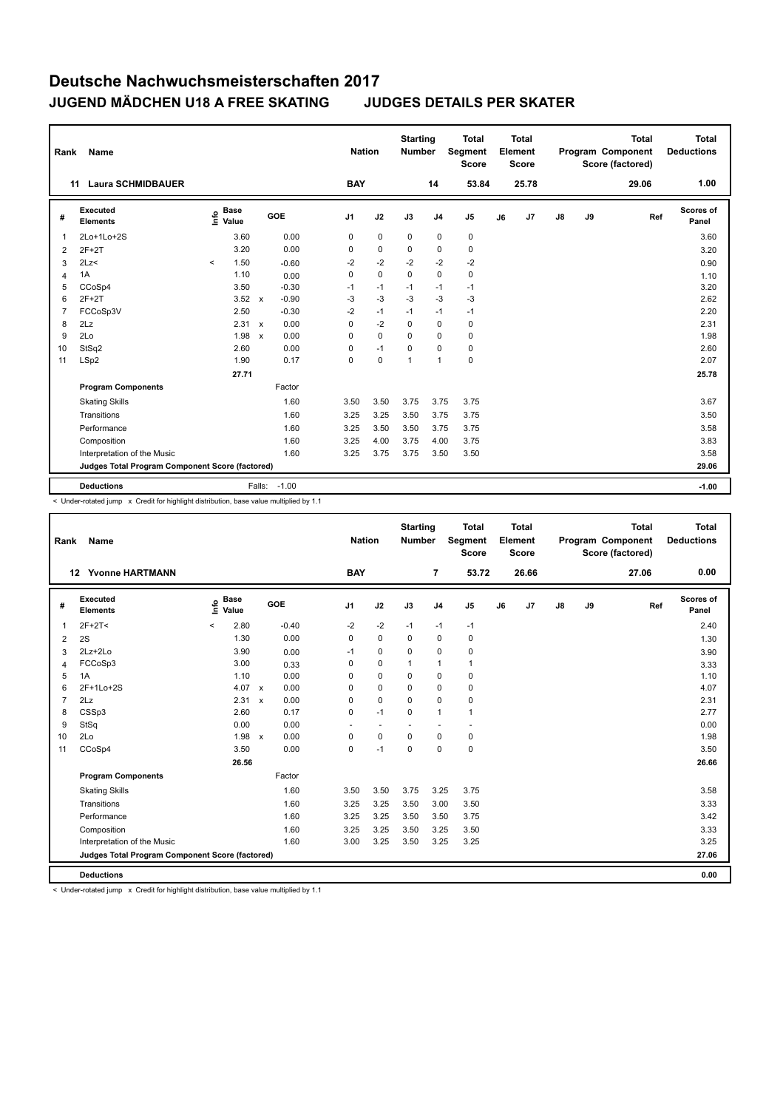| Rank           | <b>Name</b>                                     |         |                      |              |         | <b>Nation</b>  |             | <b>Starting</b><br><b>Number</b> |                | <b>Total</b><br>Segment<br>Score |    | Total<br>Element<br><b>Score</b> |               |    | <b>Total</b><br>Program Component<br>Score (factored) | Total<br><b>Deductions</b> |
|----------------|-------------------------------------------------|---------|----------------------|--------------|---------|----------------|-------------|----------------------------------|----------------|----------------------------------|----|----------------------------------|---------------|----|-------------------------------------------------------|----------------------------|
|                | <b>Laura SCHMIDBAUER</b><br>11                  |         |                      |              |         | <b>BAY</b>     |             |                                  | 14             | 53.84                            |    | 25.78                            |               |    | 29.06                                                 | 1.00                       |
| #              | Executed<br><b>Elements</b>                     | lnfo    | <b>Base</b><br>Value |              | GOE     | J <sub>1</sub> | J2          | J3                               | J <sub>4</sub> | J <sub>5</sub>                   | J6 | J7                               | $\mathsf{J}8$ | J9 | Ref                                                   | Scores of<br>Panel         |
| 1              | 2Lo+1Lo+2S                                      |         | 3.60                 |              | 0.00    | 0              | $\mathbf 0$ | 0                                | 0              | $\mathbf 0$                      |    |                                  |               |    |                                                       | 3.60                       |
| 2              | $2F+2T$                                         |         | 3.20                 |              | 0.00    | 0              | 0           | 0                                | 0              | 0                                |    |                                  |               |    |                                                       | 3.20                       |
| 3              | 2Lz                                             | $\prec$ | 1.50                 |              | $-0.60$ | $-2$           | $-2$        | $-2$                             | $-2$           | $-2$                             |    |                                  |               |    |                                                       | 0.90                       |
| $\overline{4}$ | 1A                                              |         | 1.10                 |              | 0.00    | 0              | $\mathbf 0$ | $\mathbf 0$                      | $\mathbf 0$    | $\mathbf 0$                      |    |                                  |               |    |                                                       | 1.10                       |
| 5              | CCoSp4                                          |         | 3.50                 |              | $-0.30$ | $-1$           | $-1$        | $-1$                             | $-1$           | $-1$                             |    |                                  |               |    |                                                       | 3.20                       |
| 6              | $2F+2T$                                         |         | 3.52                 | $\mathsf{x}$ | $-0.90$ | $-3$           | $-3$        | $-3$                             | $-3$           | $-3$                             |    |                                  |               |    |                                                       | 2.62                       |
| $\overline{7}$ | FCCoSp3V                                        |         | 2.50                 |              | $-0.30$ | $-2$           | $-1$        | $-1$                             | $-1$           | $-1$                             |    |                                  |               |    |                                                       | 2.20                       |
| 8              | 2Lz                                             |         | 2.31                 | $\mathsf{x}$ | 0.00    | 0              | $-2$        | $\Omega$                         | $\mathbf 0$    | 0                                |    |                                  |               |    |                                                       | 2.31                       |
| 9              | 2Lo                                             |         | 1.98                 | $\mathsf{x}$ | 0.00    | 0              | $\mathbf 0$ | $\Omega$                         | $\Omega$       | 0                                |    |                                  |               |    |                                                       | 1.98                       |
| 10             | StSq2                                           |         | 2.60                 |              | 0.00    | 0              | $-1$        | $\Omega$                         | $\Omega$       | 0                                |    |                                  |               |    |                                                       | 2.60                       |
| 11             | LSp2                                            |         | 1.90                 |              | 0.17    | 0              | $\mathbf 0$ | 1                                | $\overline{1}$ | $\pmb{0}$                        |    |                                  |               |    |                                                       | 2.07                       |
|                |                                                 |         | 27.71                |              |         |                |             |                                  |                |                                  |    |                                  |               |    |                                                       | 25.78                      |
|                | <b>Program Components</b>                       |         |                      |              | Factor  |                |             |                                  |                |                                  |    |                                  |               |    |                                                       |                            |
|                | <b>Skating Skills</b>                           |         |                      |              | 1.60    | 3.50           | 3.50        | 3.75                             | 3.75           | 3.75                             |    |                                  |               |    |                                                       | 3.67                       |
|                | Transitions                                     |         |                      |              | 1.60    | 3.25           | 3.25        | 3.50                             | 3.75           | 3.75                             |    |                                  |               |    |                                                       | 3.50                       |
|                | Performance                                     |         |                      |              | 1.60    | 3.25           | 3.50        | 3.50                             | 3.75           | 3.75                             |    |                                  |               |    |                                                       | 3.58                       |
|                | Composition                                     |         |                      |              | 1.60    | 3.25           | 4.00        | 3.75                             | 4.00           | 3.75                             |    |                                  |               |    |                                                       | 3.83                       |
|                | Interpretation of the Music                     |         |                      |              | 1.60    | 3.25           | 3.75        | 3.75                             | 3.50           | 3.50                             |    |                                  |               |    |                                                       | 3.58                       |
|                | Judges Total Program Component Score (factored) |         |                      |              |         |                |             |                                  |                |                                  |    |                                  |               |    |                                                       | 29.06                      |
|                | <b>Deductions</b>                               |         |                      | Falls:       | $-1.00$ |                |             |                                  |                |                                  |    |                                  |               |    |                                                       | $-1.00$                    |

< Under-rotated jump x Credit for highlight distribution, base value multiplied by 1.1

| Rank           | Name                                            |              |                      |                           |         |                | <b>Nation</b> |                | <b>Starting</b><br><b>Number</b> |                | <b>Total</b><br>Segment<br><b>Score</b> |    | <b>Total</b><br>Element<br><b>Score</b> |               |    | Total<br>Program Component<br>Score (factored) |     | <b>Total</b><br><b>Deductions</b> |
|----------------|-------------------------------------------------|--------------|----------------------|---------------------------|---------|----------------|---------------|----------------|----------------------------------|----------------|-----------------------------------------|----|-----------------------------------------|---------------|----|------------------------------------------------|-----|-----------------------------------|
|                | <b>Yvonne HARTMANN</b><br>12                    |              |                      |                           |         | <b>BAY</b>     |               |                |                                  | $\overline{7}$ | 53.72                                   |    | 26.66                                   |               |    | 27.06                                          |     | 0.00                              |
| #              | <b>Executed</b><br><b>Elements</b>              | ١nf٥         | <b>Base</b><br>Value |                           | GOE     | J <sub>1</sub> |               | J2             | J3                               | J <sub>4</sub> | J <sub>5</sub>                          | J6 | J <sub>7</sub>                          | $\mathsf{J}8$ | J9 |                                                | Ref | Scores of<br>Panel                |
| 1              | $2F+2T<$                                        | $\checkmark$ | 2.80                 |                           | $-0.40$ | $-2$           |               | $-2$           | $-1$                             | $-1$           | $-1$                                    |    |                                         |               |    |                                                |     | 2.40                              |
| 2              | 2S                                              |              | 1.30                 |                           | 0.00    | 0              |               | $\mathbf 0$    | 0                                | $\mathbf 0$    | $\mathbf 0$                             |    |                                         |               |    |                                                |     | 1.30                              |
| 3              | 2Lz+2Lo                                         |              | 3.90                 |                           | 0.00    | $-1$           |               | 0              | 0                                | $\mathbf 0$    | 0                                       |    |                                         |               |    |                                                |     | 3.90                              |
| 4              | FCCoSp3                                         |              | 3.00                 |                           | 0.33    | 0              |               | $\mathbf 0$    | $\mathbf{1}$                     | $\mathbf{1}$   | $\mathbf{1}$                            |    |                                         |               |    |                                                |     | 3.33                              |
| 5              | 1A                                              |              | 1.10                 |                           | 0.00    | 0              |               | $\mathbf 0$    | $\mathbf 0$                      | $\mathbf 0$    | 0                                       |    |                                         |               |    |                                                |     | 1.10                              |
| 6              | 2F+1Lo+2S                                       |              | 4.07                 | $\mathbf{x}$              | 0.00    | 0              |               | $\Omega$       | $\Omega$                         | $\mathbf 0$    | $\mathbf 0$                             |    |                                         |               |    |                                                |     | 4.07                              |
| $\overline{7}$ | 2Lz                                             |              | 2.31                 | $\boldsymbol{\mathsf{x}}$ | 0.00    | 0              |               | $\mathbf 0$    | $\mathbf 0$                      | $\mathbf 0$    | 0                                       |    |                                         |               |    |                                                |     | 2.31                              |
| 8              | CSSp3                                           |              | 2.60                 |                           | 0.17    | 0              |               | $-1$           | 0                                | $\mathbf{1}$   | $\mathbf{1}$                            |    |                                         |               |    |                                                |     | 2.77                              |
| 9              | StSq                                            |              | 0.00                 |                           | 0.00    | ٠              |               | $\overline{a}$ | ٠                                | ä,             | ä,                                      |    |                                         |               |    |                                                |     | 0.00                              |
| 10             | 2Lo                                             |              | 1.98                 | $\boldsymbol{\mathsf{x}}$ | 0.00    | 0              |               | $\mathbf 0$    | $\mathbf 0$                      | $\mathbf 0$    | 0                                       |    |                                         |               |    |                                                |     | 1.98                              |
| 11             | CCoSp4                                          |              | 3.50                 |                           | 0.00    | 0              |               | $-1$           | $\mathbf 0$                      | $\mathbf 0$    | $\mathbf 0$                             |    |                                         |               |    |                                                |     | 3.50                              |
|                |                                                 |              | 26.56                |                           |         |                |               |                |                                  |                |                                         |    |                                         |               |    |                                                |     | 26.66                             |
|                | <b>Program Components</b>                       |              |                      |                           | Factor  |                |               |                |                                  |                |                                         |    |                                         |               |    |                                                |     |                                   |
|                | <b>Skating Skills</b>                           |              |                      |                           | 1.60    | 3.50           |               | 3.50           | 3.75                             | 3.25           | 3.75                                    |    |                                         |               |    |                                                |     | 3.58                              |
|                | Transitions                                     |              |                      |                           | 1.60    | 3.25           |               | 3.25           | 3.50                             | 3.00           | 3.50                                    |    |                                         |               |    |                                                |     | 3.33                              |
|                | Performance                                     |              |                      |                           | 1.60    | 3.25           |               | 3.25           | 3.50                             | 3.50           | 3.75                                    |    |                                         |               |    |                                                |     | 3.42                              |
|                | Composition                                     |              |                      |                           | 1.60    | 3.25           |               | 3.25           | 3.50                             | 3.25           | 3.50                                    |    |                                         |               |    |                                                |     | 3.33                              |
|                | Interpretation of the Music                     |              |                      |                           | 1.60    | 3.00           |               | 3.25           | 3.50                             | 3.25           | 3.25                                    |    |                                         |               |    |                                                |     | 3.25                              |
|                | Judges Total Program Component Score (factored) |              |                      |                           |         |                |               |                |                                  |                |                                         |    |                                         |               |    |                                                |     | 27.06                             |
|                | <b>Deductions</b>                               |              |                      |                           |         |                |               |                |                                  |                |                                         |    |                                         |               |    |                                                |     | 0.00                              |

< Under-rotated jump x Credit for highlight distribution, base value multiplied by 1.1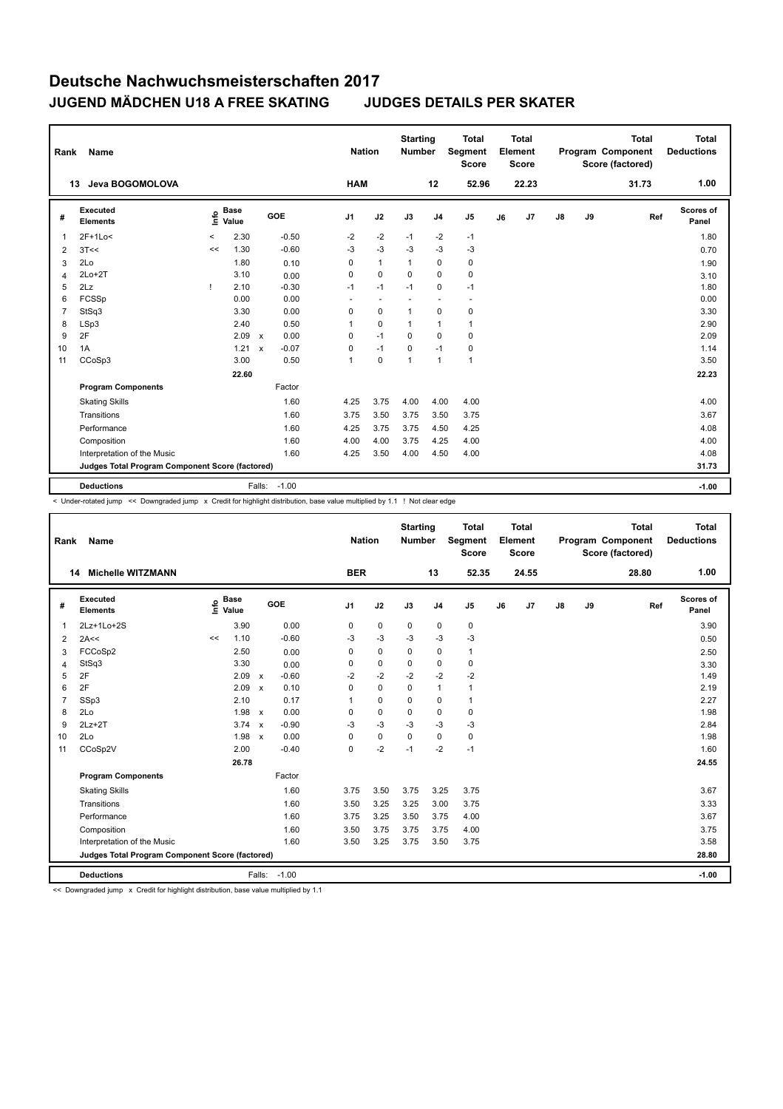| Rank           | Name                                            |          |                      |              |         |                | <b>Nation</b> | <b>Starting</b><br><b>Number</b> |                | <b>Total</b><br><b>Segment</b><br><b>Score</b> |    | <b>Total</b><br>Element<br><b>Score</b> |               |    | <b>Total</b><br>Program Component<br>Score (factored) | <b>Total</b><br><b>Deductions</b> |
|----------------|-------------------------------------------------|----------|----------------------|--------------|---------|----------------|---------------|----------------------------------|----------------|------------------------------------------------|----|-----------------------------------------|---------------|----|-------------------------------------------------------|-----------------------------------|
|                | Jeva BOGOMOLOVA<br>13                           |          |                      |              |         | <b>HAM</b>     |               |                                  | 12             | 52.96                                          |    | 22.23                                   |               |    | 31.73                                                 | 1.00                              |
| #              | Executed<br><b>Elements</b>                     | ١nf٥     | <b>Base</b><br>Value |              | GOE     | J <sub>1</sub> | J2            | J3                               | J <sub>4</sub> | J <sub>5</sub>                                 | J6 | J7                                      | $\mathsf{J}8$ | J9 | Ref                                                   | <b>Scores of</b><br>Panel         |
| 1              | $2F+1Lo<$                                       | $\hat{}$ | 2.30                 |              | $-0.50$ | $-2$           | $-2$          | $-1$                             | $-2$           | $-1$                                           |    |                                         |               |    |                                                       | 1.80                              |
| 2              | 3T<<                                            | <<       | 1.30                 |              | $-0.60$ | $-3$           | $-3$          | $-3$                             | $-3$           | -3                                             |    |                                         |               |    |                                                       | 0.70                              |
| 3              | 2Lo                                             |          | 1.80                 |              | 0.10    | 0              | $\mathbf{1}$  | $\overline{1}$                   | 0              | 0                                              |    |                                         |               |    |                                                       | 1.90                              |
| 4              | $2Lo+2T$                                        |          | 3.10                 |              | 0.00    | 0              | $\mathbf 0$   | 0                                | 0              | 0                                              |    |                                         |               |    |                                                       | 3.10                              |
| 5              | 2Lz                                             |          | 2.10                 |              | $-0.30$ | $-1$           | $-1$          | $-1$                             | 0              | $-1$                                           |    |                                         |               |    |                                                       | 1.80                              |
| 6              | FCSSp                                           |          | 0.00                 |              | 0.00    | ٠              | ٠             |                                  | ٠              | $\overline{\phantom{a}}$                       |    |                                         |               |    |                                                       | 0.00                              |
| $\overline{7}$ | StSq3                                           |          | 3.30                 |              | 0.00    | $\mathbf 0$    | $\mathbf 0$   | $\overline{1}$                   | $\mathbf 0$    | 0                                              |    |                                         |               |    |                                                       | 3.30                              |
| 8              | LSp3                                            |          | 2.40                 |              | 0.50    | 1              | $\mathbf 0$   | -1                               | $\overline{1}$ | $\mathbf{1}$                                   |    |                                         |               |    |                                                       | 2.90                              |
| 9              | 2F                                              |          | 2.09                 | $\mathsf{x}$ | 0.00    | 0              | $-1$          | $\Omega$                         | 0              | $\mathbf 0$                                    |    |                                         |               |    |                                                       | 2.09                              |
| 10             | 1A                                              |          | 1.21                 | $\mathsf{x}$ | $-0.07$ | 0              | $-1$          | 0                                | $-1$           | $\pmb{0}$                                      |    |                                         |               |    |                                                       | 1.14                              |
| 11             | CCoSp3                                          |          | 3.00                 |              | 0.50    | $\mathbf{1}$   | $\mathbf 0$   | $\overline{1}$                   | $\overline{1}$ | $\mathbf{1}$                                   |    |                                         |               |    |                                                       | 3.50                              |
|                |                                                 |          | 22.60                |              |         |                |               |                                  |                |                                                |    |                                         |               |    |                                                       | 22.23                             |
|                | <b>Program Components</b>                       |          |                      |              | Factor  |                |               |                                  |                |                                                |    |                                         |               |    |                                                       |                                   |
|                | <b>Skating Skills</b>                           |          |                      |              | 1.60    | 4.25           | 3.75          | 4.00                             | 4.00           | 4.00                                           |    |                                         |               |    |                                                       | 4.00                              |
|                | Transitions                                     |          |                      |              | 1.60    | 3.75           | 3.50          | 3.75                             | 3.50           | 3.75                                           |    |                                         |               |    |                                                       | 3.67                              |
|                | Performance                                     |          |                      |              | 1.60    | 4.25           | 3.75          | 3.75                             | 4.50           | 4.25                                           |    |                                         |               |    |                                                       | 4.08                              |
|                | Composition                                     |          |                      |              | 1.60    | 4.00           | 4.00          | 3.75                             | 4.25           | 4.00                                           |    |                                         |               |    |                                                       | 4.00                              |
|                | Interpretation of the Music                     |          |                      |              | 1.60    | 4.25           | 3.50          | 4.00                             | 4.50           | 4.00                                           |    |                                         |               |    |                                                       | 4.08                              |
|                | Judges Total Program Component Score (factored) |          |                      |              |         |                |               |                                  |                |                                                |    |                                         |               |    |                                                       | 31.73                             |
|                | <b>Deductions</b>                               |          |                      | Falls:       | $-1.00$ |                |               |                                  |                |                                                |    |                                         |               |    |                                                       | $-1.00$                           |

< Under-rotated jump << Downgraded jump x Credit for highlight distribution, base value multiplied by 1.1 ! Not clear edge

| Rank           | Name                                            |    |                      |                           |         |                | <b>Nation</b> | <b>Starting</b><br><b>Number</b> |                | <b>Total</b><br>Segment<br><b>Score</b> |    | <b>Total</b><br>Element<br><b>Score</b> |               |    | <b>Total</b><br>Program Component<br>Score (factored) | <b>Total</b><br><b>Deductions</b> |
|----------------|-------------------------------------------------|----|----------------------|---------------------------|---------|----------------|---------------|----------------------------------|----------------|-----------------------------------------|----|-----------------------------------------|---------------|----|-------------------------------------------------------|-----------------------------------|
|                | <b>Michelle WITZMANN</b><br>14                  |    |                      |                           |         | <b>BER</b>     |               |                                  | 13             | 52.35                                   |    | 24.55                                   |               |    | 28.80                                                 | 1.00                              |
| #              | Executed<br><b>Elements</b>                     | ۴  | <b>Base</b><br>Value |                           | GOE     | J <sub>1</sub> | J2            | J3                               | J <sub>4</sub> | J <sub>5</sub>                          | J6 | J <sub>7</sub>                          | $\mathsf{J}8$ | J9 | Ref                                                   | Scores of<br>Panel                |
| 1              | 2Lz+1Lo+2S                                      |    | 3.90                 |                           | 0.00    | 0              | $\mathbf 0$   | 0                                | $\mathbf 0$    | 0                                       |    |                                         |               |    |                                                       | 3.90                              |
| $\overline{2}$ | 2A<<                                            | << | 1.10                 |                           | $-0.60$ | $-3$           | $-3$          | $-3$                             | $-3$           | $-3$                                    |    |                                         |               |    |                                                       | 0.50                              |
| 3              | FCCoSp2                                         |    | 2.50                 |                           | 0.00    | 0              | $\mathbf 0$   | 0                                | 0              | $\mathbf{1}$                            |    |                                         |               |    |                                                       | 2.50                              |
| 4              | StSq3                                           |    | 3.30                 |                           | 0.00    | 0              | $\pmb{0}$     | $\mathbf 0$                      | $\mathbf 0$    | $\pmb{0}$                               |    |                                         |               |    |                                                       | 3.30                              |
| 5              | 2F                                              |    | 2.09                 | $\mathsf{x}$              | $-0.60$ | $-2$           | $-2$          | $-2$                             | $-2$           | $-2$                                    |    |                                         |               |    |                                                       | 1.49                              |
| 6              | 2F                                              |    | 2.09                 | $\mathsf{x}$              | 0.10    | 0              | $\mathbf 0$   | 0                                | $\mathbf{1}$   | $\mathbf{1}$                            |    |                                         |               |    |                                                       | 2.19                              |
| $\overline{7}$ | SSp3                                            |    | 2.10                 |                           | 0.17    | $\mathbf{1}$   | $\mathbf 0$   | 0                                | 0              | $\mathbf{1}$                            |    |                                         |               |    |                                                       | 2.27                              |
| 8              | 2Lo                                             |    | 1.98                 | $\mathsf{x}$              | 0.00    | 0              | $\mathbf 0$   | 0                                | 0              | 0                                       |    |                                         |               |    |                                                       | 1.98                              |
| 9              | $2Lz+2T$                                        |    | 3.74                 | $\boldsymbol{\mathsf{x}}$ | $-0.90$ | $-3$           | $-3$          | $-3$                             | $-3$           | $-3$                                    |    |                                         |               |    |                                                       | 2.84                              |
| 10             | 2Lo                                             |    | 1.98                 | $\boldsymbol{\mathsf{x}}$ | 0.00    | 0              | $\pmb{0}$     | $\mathbf 0$                      | $\mathbf 0$    | $\pmb{0}$                               |    |                                         |               |    |                                                       | 1.98                              |
| 11             | CCoSp2V                                         |    | 2.00                 |                           | $-0.40$ | 0              | $-2$          | $-1$                             | $-2$           | $-1$                                    |    |                                         |               |    |                                                       | 1.60                              |
|                |                                                 |    | 26.78                |                           |         |                |               |                                  |                |                                         |    |                                         |               |    |                                                       | 24.55                             |
|                | <b>Program Components</b>                       |    |                      |                           | Factor  |                |               |                                  |                |                                         |    |                                         |               |    |                                                       |                                   |
|                | <b>Skating Skills</b>                           |    |                      |                           | 1.60    | 3.75           | 3.50          | 3.75                             | 3.25           | 3.75                                    |    |                                         |               |    |                                                       | 3.67                              |
|                | Transitions                                     |    |                      |                           | 1.60    | 3.50           | 3.25          | 3.25                             | 3.00           | 3.75                                    |    |                                         |               |    |                                                       | 3.33                              |
|                | Performance                                     |    |                      |                           | 1.60    | 3.75           | 3.25          | 3.50                             | 3.75           | 4.00                                    |    |                                         |               |    |                                                       | 3.67                              |
|                | Composition                                     |    |                      |                           | 1.60    | 3.50           | 3.75          | 3.75                             | 3.75           | 4.00                                    |    |                                         |               |    |                                                       | 3.75                              |
|                | Interpretation of the Music                     |    |                      |                           | 1.60    | 3.50           | 3.25          | 3.75                             | 3.50           | 3.75                                    |    |                                         |               |    |                                                       | 3.58                              |
|                | Judges Total Program Component Score (factored) |    |                      |                           |         |                |               |                                  |                |                                         |    |                                         |               |    |                                                       | 28.80                             |
|                | <b>Deductions</b>                               |    |                      | Falls:                    | $-1.00$ |                |               |                                  |                |                                         |    |                                         |               |    |                                                       | $-1.00$                           |

<< Downgraded jump x Credit for highlight distribution, base value multiplied by 1.1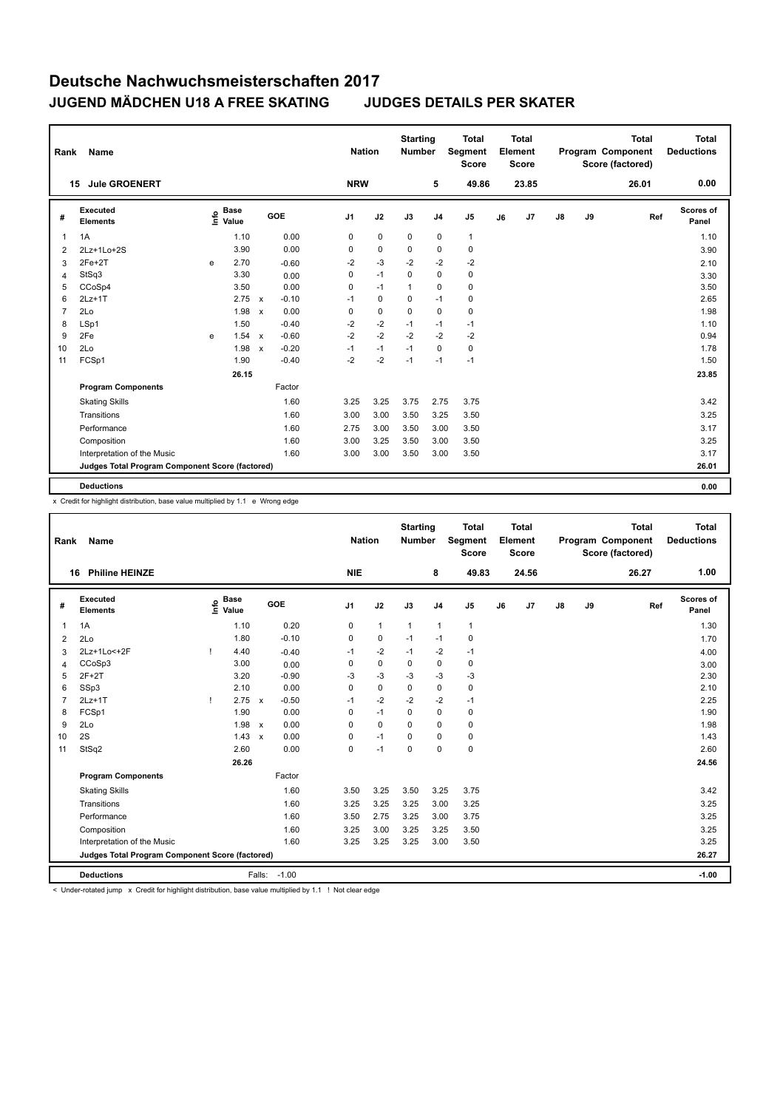| <b>Name</b>                 |                                 |                      |              |         |                                                        |      |                                                        |                             |                | <b>Total</b><br><b>Score</b>     |                                                 |       |                                         |    | <b>Total</b> | Total<br><b>Deductions</b>            |
|-----------------------------|---------------------------------|----------------------|--------------|---------|--------------------------------------------------------|------|--------------------------------------------------------|-----------------------------|----------------|----------------------------------|-------------------------------------------------|-------|-----------------------------------------|----|--------------|---------------------------------------|
| <b>Jule GROENERT</b>        |                                 |                      |              |         |                                                        |      |                                                        |                             | 5              | 49.86                            |                                                 | 23.85 |                                         |    | 26.01        | 0.00                                  |
| Executed<br><b>Elements</b> |                                 | <b>Base</b><br>Value |              |         |                                                        |      | J2                                                     | J3                          | J <sub>4</sub> | J <sub>5</sub>                   | J6                                              | J7    | J8                                      | J9 | Ref          | Scores of<br>Panel                    |
| 1A                          |                                 | 1.10                 |              | 0.00    |                                                        | 0    | $\mathbf 0$                                            | $\mathbf 0$                 | $\mathbf 0$    | $\mathbf{1}$                     |                                                 |       |                                         |    |              | 1.10                                  |
| $2Lz+1Lo+2S$                |                                 | 3.90                 |              | 0.00    |                                                        | 0    | $\mathbf 0$                                            | 0                           | 0              | 0                                |                                                 |       |                                         |    |              | 3.90                                  |
| $2Fe+2T$                    | e                               | 2.70                 |              | $-0.60$ |                                                        | $-2$ | $-3$                                                   | $-2$                        | $-2$           | $-2$                             |                                                 |       |                                         |    |              | 2.10                                  |
| StSq3                       |                                 | 3.30                 |              | 0.00    |                                                        | 0    | $-1$                                                   | $\mathbf 0$                 | $\mathbf 0$    | $\pmb{0}$                        |                                                 |       |                                         |    |              | 3.30                                  |
| CCoSp4                      |                                 | 3.50                 |              | 0.00    |                                                        | 0    | $-1$                                                   | $\mathbf{1}$                | 0              | $\pmb{0}$                        |                                                 |       |                                         |    |              | 3.50                                  |
| $2Lz+1T$                    |                                 | 2.75                 | $\mathsf{x}$ | $-0.10$ |                                                        | $-1$ | $\mathbf 0$                                            | 0                           | $-1$           | 0                                |                                                 |       |                                         |    |              | 2.65                                  |
| 2Lo                         |                                 | 1.98                 | $\mathsf{x}$ | 0.00    |                                                        | 0    | $\mathbf 0$                                            | $\Omega$                    | $\mathbf 0$    | $\pmb{0}$                        |                                                 |       |                                         |    |              | 1.98                                  |
| LSp1                        |                                 | 1.50                 |              | $-0.40$ |                                                        | $-2$ | $-2$                                                   | $-1$                        | $-1$           | $-1$                             |                                                 |       |                                         |    |              | 1.10                                  |
| 2Fe                         | e                               |                      | $\mathsf{x}$ | $-0.60$ |                                                        | $-2$ | $-2$                                                   | $-2$                        | $-2$           | $-2$                             |                                                 |       |                                         |    |              | 0.94                                  |
| 2Lo                         |                                 | 1.98                 | $\mathsf{x}$ | $-0.20$ |                                                        | $-1$ | $-1$                                                   | $-1$                        | 0              | $\pmb{0}$                        |                                                 |       |                                         |    |              | 1.78                                  |
| FCSp1                       |                                 | 1.90                 |              | $-0.40$ |                                                        | $-2$ | $-2$                                                   | $-1$                        | $-1$           | $-1$                             |                                                 |       |                                         |    |              | 1.50                                  |
|                             |                                 |                      |              |         |                                                        |      |                                                        |                             |                |                                  |                                                 |       |                                         |    |              | 23.85                                 |
| <b>Program Components</b>   |                                 |                      |              | Factor  |                                                        |      |                                                        |                             |                |                                  |                                                 |       |                                         |    |              |                                       |
| <b>Skating Skills</b>       |                                 |                      |              | 1.60    |                                                        |      | 3.25                                                   | 3.75                        |                | 3.75                             |                                                 |       |                                         |    |              | 3.42                                  |
| Transitions                 |                                 |                      |              | 1.60    |                                                        |      | 3.00                                                   | 3.50                        |                | 3.50                             |                                                 |       |                                         |    |              | 3.25                                  |
| Performance                 |                                 |                      |              | 1.60    |                                                        |      | 3.00                                                   | 3.50                        |                | 3.50                             |                                                 |       |                                         |    |              | 3.17                                  |
| Composition                 |                                 |                      |              | 1.60    |                                                        |      | 3.25                                                   | 3.50                        |                | 3.50                             |                                                 |       |                                         |    |              | 3.25                                  |
| Interpretation of the Music |                                 |                      |              | 1.60    |                                                        |      | 3.00                                                   | 3.50                        |                | 3.50                             |                                                 |       |                                         |    |              | 3.17                                  |
|                             |                                 |                      |              |         |                                                        |      |                                                        |                             |                |                                  |                                                 |       |                                         |    |              | 26.01                                 |
|                             |                                 |                      |              |         |                                                        |      |                                                        |                             |                |                                  |                                                 |       |                                         |    |              | 0.00                                  |
|                             | Rank<br>15<br><b>Deductions</b> |                      | lnfo<br>1.54 | 26.15   | GOE<br>Judges Total Program Component Score (factored) |      | J <sub>1</sub><br>3.25<br>3.00<br>2.75<br>3.00<br>3.00 | <b>Nation</b><br><b>NRW</b> |                | <b>Starting</b><br><b>Number</b> | Segment<br>2.75<br>3.25<br>3.00<br>3.00<br>3.00 |       | <b>Total</b><br>Element<br><b>Score</b> |    |              | Program Component<br>Score (factored) |

x Credit for highlight distribution, base value multiplied by 1.1 e Wrong edge

| Rank           | <b>Name</b>                                     |      |                      |                           |              |                | <b>Nation</b> |              | <b>Starting</b><br><b>Number</b> |                | <b>Total</b><br>Segment<br><b>Score</b> |    | <b>Total</b><br>Element<br><b>Score</b> |    |    | <b>Total</b><br>Program Component<br>Score (factored) |     | Total<br><b>Deductions</b> |
|----------------|-------------------------------------------------|------|----------------------|---------------------------|--------------|----------------|---------------|--------------|----------------------------------|----------------|-----------------------------------------|----|-----------------------------------------|----|----|-------------------------------------------------------|-----|----------------------------|
|                | <b>Philine HEINZE</b><br>16                     |      |                      |                           |              | <b>NIE</b>     |               |              |                                  | 8              | 49.83                                   |    | 24.56                                   |    |    | 26.27                                                 |     | 1.00                       |
| #              | Executed<br><b>Elements</b>                     | ١nf٥ | <b>Base</b><br>Value |                           | GOE          | J <sub>1</sub> |               | J2           | J3                               | J <sub>4</sub> | J <sub>5</sub>                          | J6 | J7                                      | J8 | J9 |                                                       | Ref | Scores of<br>Panel         |
| 1              | 1A                                              |      | 1.10                 |                           | 0.20         | $\mathbf 0$    |               | $\mathbf{1}$ | $\overline{1}$                   | $\mathbf{1}$   | $\mathbf{1}$                            |    |                                         |    |    |                                                       |     | 1.30                       |
| $\overline{2}$ | 2Lo                                             |      | 1.80                 |                           | $-0.10$      | 0              |               | $\mathbf 0$  | $-1$                             | $-1$           | $\mathbf 0$                             |    |                                         |    |    |                                                       |     | 1.70                       |
| 3              | 2Lz+1Lo<+2F                                     | ı    | 4.40                 |                           | $-0.40$      | $-1$           |               | $-2$         | $-1$                             | $-2$           | $-1$                                    |    |                                         |    |    |                                                       |     | 4.00                       |
| 4              | CCoSp3                                          |      | 3.00                 |                           | 0.00         | 0              |               | $\mathbf 0$  | 0                                | $\mathbf 0$    | 0                                       |    |                                         |    |    |                                                       |     | 3.00                       |
| 5              | $2F+2T$                                         |      | 3.20                 |                           | $-0.90$      | -3             |               | $-3$         | $-3$                             | $-3$           | $-3$                                    |    |                                         |    |    |                                                       |     | 2.30                       |
| 6              | SSp3                                            |      | 2.10                 |                           | 0.00         | $\mathbf 0$    |               | $\mathbf 0$  | $\Omega$                         | $\mathbf 0$    | $\mathbf 0$                             |    |                                         |    |    |                                                       |     | 2.10                       |
| $\overline{7}$ | $2Lz+1T$                                        | ı    | 2.75                 | $\mathsf{x}$              | $-0.50$      | $-1$           |               | $-2$         | $-2$                             | $-2$           | $-1$                                    |    |                                         |    |    |                                                       |     | 2.25                       |
| 8              | FCSp1                                           |      | 1.90                 |                           | 0.00         | 0              |               | $-1$         | $\Omega$                         | $\mathbf 0$    | $\mathbf 0$                             |    |                                         |    |    |                                                       |     | 1.90                       |
| 9              | 2Lo                                             |      | 1.98                 | $\boldsymbol{\mathsf{x}}$ | 0.00         | 0              |               | $\Omega$     | $\Omega$                         | $\mathbf 0$    | $\mathbf 0$                             |    |                                         |    |    |                                                       |     | 1.98                       |
| 10             | 2S                                              |      | 1.43                 | $\boldsymbol{\mathsf{x}}$ | 0.00         | 0              |               | $-1$         | $\Omega$                         | $\Omega$       | $\mathbf 0$                             |    |                                         |    |    |                                                       |     | 1.43                       |
| 11             | StSq2                                           |      | 2.60                 |                           | 0.00         | 0              |               | $-1$         | 0                                | 0              | $\mathbf 0$                             |    |                                         |    |    |                                                       |     | 2.60                       |
|                |                                                 |      | 26.26                |                           |              |                |               |              |                                  |                |                                         |    |                                         |    |    |                                                       |     | 24.56                      |
|                | <b>Program Components</b>                       |      |                      |                           | Factor       |                |               |              |                                  |                |                                         |    |                                         |    |    |                                                       |     |                            |
|                | <b>Skating Skills</b>                           |      |                      |                           | 1.60         | 3.50           |               | 3.25         | 3.50                             | 3.25           | 3.75                                    |    |                                         |    |    |                                                       |     | 3.42                       |
|                | Transitions                                     |      |                      |                           | 1.60         | 3.25           |               | 3.25         | 3.25                             | 3.00           | 3.25                                    |    |                                         |    |    |                                                       |     | 3.25                       |
|                | Performance                                     |      |                      |                           | 1.60         | 3.50           |               | 2.75         | 3.25                             | 3.00           | 3.75                                    |    |                                         |    |    |                                                       |     | 3.25                       |
|                | Composition                                     |      |                      |                           | 1.60         | 3.25           |               | 3.00         | 3.25                             | 3.25           | 3.50                                    |    |                                         |    |    |                                                       |     | 3.25                       |
|                | Interpretation of the Music                     |      |                      |                           | 1.60         | 3.25           |               | 3.25         | 3.25                             | 3.00           | 3.50                                    |    |                                         |    |    |                                                       |     | 3.25                       |
|                | Judges Total Program Component Score (factored) |      |                      |                           |              |                |               |              |                                  |                |                                         |    |                                         |    |    |                                                       |     | 26.27                      |
|                | <b>Deductions</b>                               |      |                      |                           | Falls: -1.00 |                |               |              |                                  |                |                                         |    |                                         |    |    |                                                       |     | $-1.00$                    |

< Under-rotated jump x Credit for highlight distribution, base value multiplied by 1.1 ! Not clear edge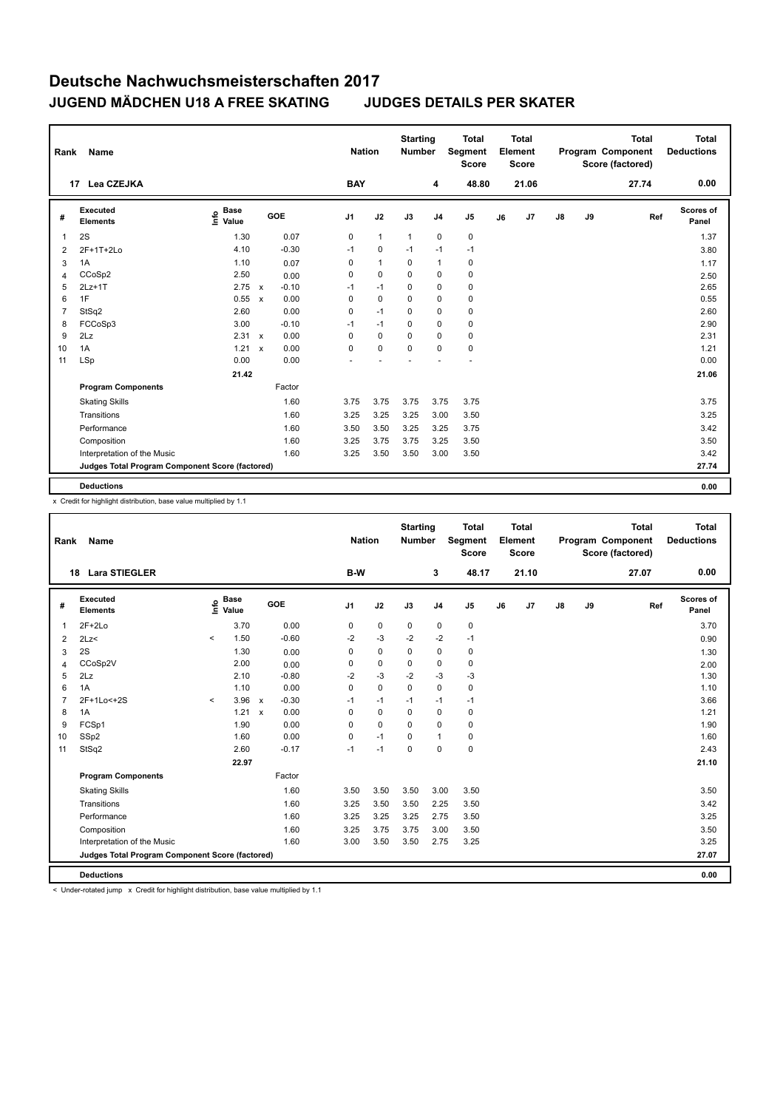| Rank | <b>Name</b>                                     |                              |              |         |                | <b>Nation</b>  | <b>Starting</b><br><b>Number</b> |                | <b>Total</b><br>Segment<br><b>Score</b> |    | <b>Total</b><br>Element<br><b>Score</b> |    |    | <b>Total</b><br>Program Component<br>Score (factored) | <b>Total</b><br><b>Deductions</b> |
|------|-------------------------------------------------|------------------------------|--------------|---------|----------------|----------------|----------------------------------|----------------|-----------------------------------------|----|-----------------------------------------|----|----|-------------------------------------------------------|-----------------------------------|
| 17   | Lea CZEJKA                                      |                              |              |         | <b>BAY</b>     |                |                                  | 4              | 48.80                                   |    | 21.06                                   |    |    | 27.74                                                 | 0.00                              |
| #    | Executed<br><b>Elements</b>                     | <b>Base</b><br>lnfo<br>Value |              | GOE     | J <sub>1</sub> | J2             | J3                               | J <sub>4</sub> | J <sub>5</sub>                          | J6 | J7                                      | J8 | J9 | Ref                                                   | Scores of<br>Panel                |
| 1    | 2S                                              | 1.30                         |              | 0.07    | 0              | $\mathbf{1}$   | $\mathbf{1}$                     | $\mathbf 0$    | $\pmb{0}$                               |    |                                         |    |    |                                                       | 1.37                              |
| 2    | 2F+1T+2Lo                                       | 4.10                         |              | $-0.30$ | $-1$           | 0              | $-1$                             | $-1$           | $-1$                                    |    |                                         |    |    |                                                       | 3.80                              |
| 3    | 1A                                              | 1.10                         |              | 0.07    | 0              | $\overline{1}$ | 0                                | $\mathbf{1}$   | 0                                       |    |                                         |    |    |                                                       | 1.17                              |
| 4    | CCoSp2                                          | 2.50                         |              | 0.00    | 0              | $\mathbf 0$    | 0                                | 0              | 0                                       |    |                                         |    |    |                                                       | 2.50                              |
| 5    | $2Lz+1T$                                        | 2.75 x                       |              | $-0.10$ | $-1$           | $-1$           | $\Omega$                         | 0              | 0                                       |    |                                         |    |    |                                                       | 2.65                              |
| 6    | 1F                                              | 0.55                         | $\mathsf{x}$ | 0.00    | 0              | $\mathbf 0$    | 0                                | 0              | 0                                       |    |                                         |    |    |                                                       | 0.55                              |
| 7    | StSq2                                           | 2.60                         |              | 0.00    | $\mathbf 0$    | $-1$           | $\Omega$                         | $\mathbf 0$    | 0                                       |    |                                         |    |    |                                                       | 2.60                              |
| 8    | FCCoSp3                                         | 3.00                         |              | $-0.10$ | $-1$           | $-1$           | $\mathbf 0$                      | $\mathbf 0$    | 0                                       |    |                                         |    |    |                                                       | 2.90                              |
| 9    | 2Lz                                             | $2.31 \times$                |              | 0.00    | 0              | $\mathbf 0$    | 0                                | 0              | 0                                       |    |                                         |    |    |                                                       | 2.31                              |
| 10   | 1A                                              | 1.21                         | $\mathsf{x}$ | 0.00    | 0              | $\mathbf 0$    | $\mathbf 0$                      | $\mathbf 0$    | 0                                       |    |                                         |    |    |                                                       | 1.21                              |
| 11   | LSp                                             | 0.00                         |              | 0.00    |                |                |                                  |                | ٠                                       |    |                                         |    |    |                                                       | 0.00                              |
|      |                                                 | 21.42                        |              |         |                |                |                                  |                |                                         |    |                                         |    |    |                                                       | 21.06                             |
|      | <b>Program Components</b>                       |                              |              | Factor  |                |                |                                  |                |                                         |    |                                         |    |    |                                                       |                                   |
|      | <b>Skating Skills</b>                           |                              |              | 1.60    | 3.75           | 3.75           | 3.75                             | 3.75           | 3.75                                    |    |                                         |    |    |                                                       | 3.75                              |
|      | Transitions                                     |                              |              | 1.60    | 3.25           | 3.25           | 3.25                             | 3.00           | 3.50                                    |    |                                         |    |    |                                                       | 3.25                              |
|      | Performance                                     |                              |              | 1.60    | 3.50           | 3.50           | 3.25                             | 3.25           | 3.75                                    |    |                                         |    |    |                                                       | 3.42                              |
|      | Composition                                     |                              |              | 1.60    | 3.25           | 3.75           | 3.75                             | 3.25           | 3.50                                    |    |                                         |    |    |                                                       | 3.50                              |
|      | Interpretation of the Music                     |                              |              | 1.60    | 3.25           | 3.50           | 3.50                             | 3.00           | 3.50                                    |    |                                         |    |    |                                                       | 3.42                              |
|      | Judges Total Program Component Score (factored) |                              |              |         |                |                |                                  |                |                                         |    |                                         |    |    |                                                       | 27.74                             |
|      | <b>Deductions</b>                               |                              |              |         |                |                |                                  |                |                                         |    |                                         |    |    |                                                       | 0.00                              |

x Credit for highlight distribution, base value multiplied by 1.1

| Rank           | Name                                            |                          |                      |              |         |                | <b>Nation</b> |             | <b>Starting</b><br><b>Number</b> |              | <b>Total</b><br>Segment<br>Score |    | <b>Total</b><br>Element<br><b>Score</b> |               |    | <b>Total</b><br>Program Component<br>Score (factored) | <b>Total</b><br><b>Deductions</b> |
|----------------|-------------------------------------------------|--------------------------|----------------------|--------------|---------|----------------|---------------|-------------|----------------------------------|--------------|----------------------------------|----|-----------------------------------------|---------------|----|-------------------------------------------------------|-----------------------------------|
|                | <b>Lara STIEGLER</b><br>18                      |                          |                      |              |         | B-W            |               |             | 3                                |              | 48.17                            |    | 21.10                                   |               |    | 27.07                                                 | 0.00                              |
| #              | <b>Executed</b><br><b>Elements</b>              | ۴                        | <b>Base</b><br>Value |              | GOE     | J <sub>1</sub> | J2            | J3          | J <sub>4</sub>                   |              | J <sub>5</sub>                   | J6 | J7                                      | $\mathsf{J}8$ | J9 | Ref                                                   | <b>Scores of</b><br>Panel         |
| 1              | $2F+2Lo$                                        |                          | 3.70                 |              | 0.00    | 0              | $\mathbf 0$   | $\mathbf 0$ |                                  | 0            | $\pmb{0}$                        |    |                                         |               |    |                                                       | 3.70                              |
| 2              | 2Lz<                                            | $\hat{}$                 | 1.50                 |              | $-0.60$ | $-2$           | $-3$          | $-2$        |                                  | $-2$         | $-1$                             |    |                                         |               |    |                                                       | 0.90                              |
| 3              | 2S                                              |                          | 1.30                 |              | 0.00    | 0              | $\mathbf 0$   | $\mathbf 0$ |                                  | $\mathbf 0$  | $\pmb{0}$                        |    |                                         |               |    |                                                       | 1.30                              |
| $\overline{4}$ | CCoSp2V                                         |                          | 2.00                 |              | 0.00    | 0              | $\mathbf 0$   | 0           |                                  | 0            | $\pmb{0}$                        |    |                                         |               |    |                                                       | 2.00                              |
| 5              | 2Lz                                             |                          | 2.10                 |              | $-0.80$ | $-2$           | $-3$          | $-2$        |                                  | $-3$         | $-3$                             |    |                                         |               |    |                                                       | 1.30                              |
| 6              | 1A                                              |                          | 1.10                 |              | 0.00    | 0              | $\Omega$      | $\Omega$    |                                  | $\Omega$     | $\pmb{0}$                        |    |                                         |               |    |                                                       | 1.10                              |
| $\overline{7}$ | 2F+1Lo<+2S                                      | $\overline{\phantom{a}}$ | 3.96                 | $\mathsf{x}$ | $-0.30$ | $-1$           | $-1$          | $-1$        |                                  | $-1$         | $-1$                             |    |                                         |               |    |                                                       | 3.66                              |
| 8              | 1A                                              |                          | 1.21                 | $\mathsf{x}$ | 0.00    | 0              | $\mathbf 0$   | $\Omega$    |                                  | $\mathbf 0$  | 0                                |    |                                         |               |    |                                                       | 1.21                              |
| 9              | FCSp1                                           |                          | 1.90                 |              | 0.00    | 0              | $\mathbf 0$   | $\Omega$    |                                  | $\Omega$     | 0                                |    |                                         |               |    |                                                       | 1.90                              |
| 10             | SSp2                                            |                          | 1.60                 |              | 0.00    | 0              | $-1$          | $\Omega$    |                                  | $\mathbf{1}$ | 0                                |    |                                         |               |    |                                                       | 1.60                              |
| 11             | StSq2                                           |                          | 2.60                 |              | $-0.17$ | $-1$           | $-1$          | $\mathbf 0$ |                                  | $\mathbf 0$  | $\pmb{0}$                        |    |                                         |               |    |                                                       | 2.43                              |
|                |                                                 |                          | 22.97                |              |         |                |               |             |                                  |              |                                  |    |                                         |               |    |                                                       | 21.10                             |
|                | <b>Program Components</b>                       |                          |                      |              | Factor  |                |               |             |                                  |              |                                  |    |                                         |               |    |                                                       |                                   |
|                | <b>Skating Skills</b>                           |                          |                      |              | 1.60    | 3.50           | 3.50          | 3.50        |                                  | 3.00         | 3.50                             |    |                                         |               |    |                                                       | 3.50                              |
|                | Transitions                                     |                          |                      |              | 1.60    | 3.25           | 3.50          | 3.50        |                                  | 2.25         | 3.50                             |    |                                         |               |    |                                                       | 3.42                              |
|                | Performance                                     |                          |                      |              | 1.60    | 3.25           | 3.25          | 3.25        |                                  | 2.75         | 3.50                             |    |                                         |               |    |                                                       | 3.25                              |
|                | Composition                                     |                          |                      |              | 1.60    | 3.25           | 3.75          | 3.75        |                                  | 3.00         | 3.50                             |    |                                         |               |    |                                                       | 3.50                              |
|                | Interpretation of the Music                     |                          |                      |              | 1.60    | 3.00           | 3.50          | 3.50        |                                  | 2.75         | 3.25                             |    |                                         |               |    |                                                       | 3.25                              |
|                | Judges Total Program Component Score (factored) |                          |                      |              |         |                |               |             |                                  |              |                                  |    |                                         |               |    |                                                       | 27.07                             |
|                | <b>Deductions</b>                               |                          |                      |              |         |                |               |             |                                  |              |                                  |    |                                         |               |    |                                                       | 0.00                              |

< Under-rotated jump x Credit for highlight distribution, base value multiplied by 1.1